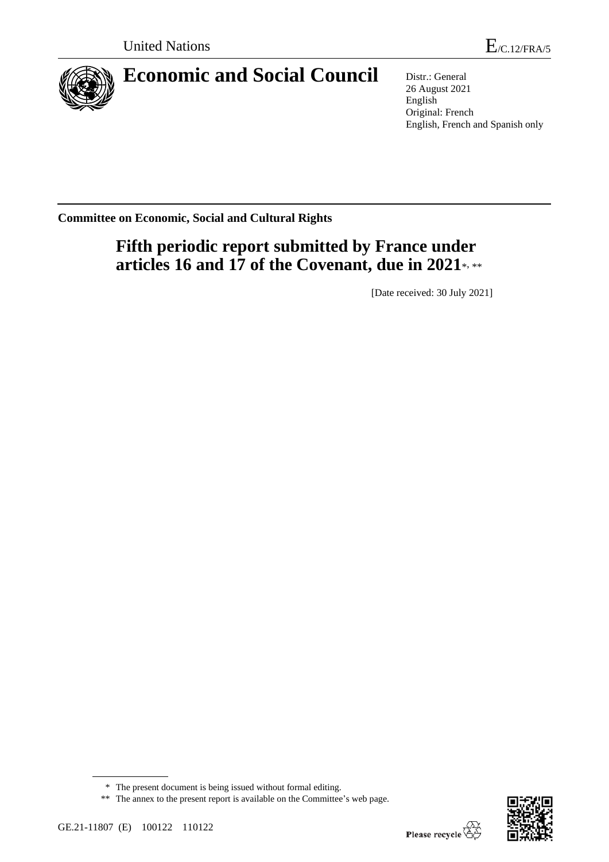

# **Economic and Social Council** Distr.: General

26 August 2021 English Original: French English, French and Spanish only

**Committee on Economic, Social and Cultural Rights**

# **Fifth periodic report submitted by France under**  articles 16 and 17 of the Covenant, due in 2021\*, \*\*

[Date received: 30 July 2021]



<sup>\*</sup> The present document is being issued without formal editing.

<sup>\*\*</sup> The annex to the present report is available on the Committee's web page.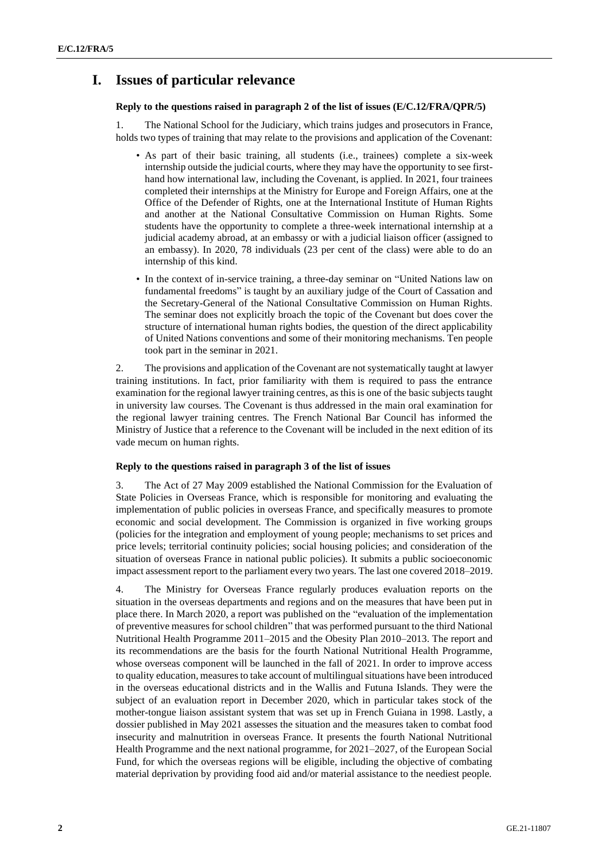# **I. Issues of particular relevance**

## **Reply to the questions raised in paragraph 2 of the list of issues (E/C.12/FRA/QPR/5)**

1. The National School for the Judiciary, which trains judges and prosecutors in France, holds two types of training that may relate to the provisions and application of the Covenant:

- As part of their basic training, all students (i.e., trainees) complete a six-week internship outside the judicial courts, where they may have the opportunity to see firsthand how international law, including the Covenant, is applied. In 2021, four trainees completed their internships at the Ministry for Europe and Foreign Affairs, one at the Office of the Defender of Rights, one at the International Institute of Human Rights and another at the National Consultative Commission on Human Rights. Some students have the opportunity to complete a three-week international internship at a judicial academy abroad, at an embassy or with a judicial liaison officer (assigned to an embassy). In 2020, 78 individuals (23 per cent of the class) were able to do an internship of this kind.
- In the context of in-service training, a three-day seminar on "United Nations law on fundamental freedoms" is taught by an auxiliary judge of the Court of Cassation and the Secretary-General of the National Consultative Commission on Human Rights. The seminar does not explicitly broach the topic of the Covenant but does cover the structure of international human rights bodies, the question of the direct applicability of United Nations conventions and some of their monitoring mechanisms. Ten people took part in the seminar in 2021.

2. The provisions and application of the Covenant are not systematically taught at lawyer training institutions. In fact, prior familiarity with them is required to pass the entrance examination for the regional lawyer training centres, as this is one of the basic subjects taught in university law courses. The Covenant is thus addressed in the main oral examination for the regional lawyer training centres. The French National Bar Council has informed the Ministry of Justice that a reference to the Covenant will be included in the next edition of its vade mecum on human rights.

## **Reply to the questions raised in paragraph 3 of the list of issues**

3. The Act of 27 May 2009 established the National Commission for the Evaluation of State Policies in Overseas France, which is responsible for monitoring and evaluating the implementation of public policies in overseas France, and specifically measures to promote economic and social development. The Commission is organized in five working groups (policies for the integration and employment of young people; mechanisms to set prices and price levels; territorial continuity policies; social housing policies; and consideration of the situation of overseas France in national public policies). It submits a public socioeconomic impact assessment report to the parliament every two years. The last one covered 2018–2019.

4. The Ministry for Overseas France regularly produces evaluation reports on the situation in the overseas departments and regions and on the measures that have been put in place there. In March 2020, a report was published on the "evaluation of the implementation of preventive measures for school children" that was performed pursuant to the third National Nutritional Health Programme 2011–2015 and the Obesity Plan 2010–2013. The report and its recommendations are the basis for the fourth National Nutritional Health Programme, whose overseas component will be launched in the fall of 2021. In order to improve access to quality education, measures to take account of multilingual situations have been introduced in the overseas educational districts and in the Wallis and Futuna Islands. They were the subject of an evaluation report in December 2020, which in particular takes stock of the mother-tongue liaison assistant system that was set up in French Guiana in 1998. Lastly, a dossier published in May 2021 assesses the situation and the measures taken to combat food insecurity and malnutrition in overseas France. It presents the fourth National Nutritional Health Programme and the next national programme, for 2021–2027, of the European Social Fund, for which the overseas regions will be eligible, including the objective of combating material deprivation by providing food aid and/or material assistance to the neediest people.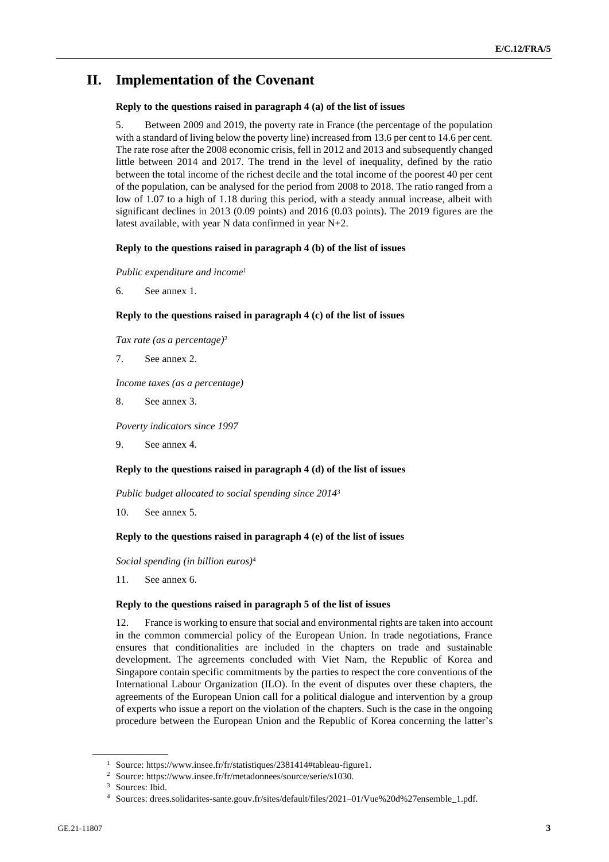# **II. Implementation of the Covenant**

## **Reply to the questions raised in paragraph 4 (a) of the list of issues**

5. Between 2009 and 2019, the poverty rate in France (the percentage of the population with a standard of living below the poverty line) increased from 13.6 per cent to 14.6 per cent. The rate rose after the 2008 economic crisis, fell in 2012 and 2013 and subsequently changed little between 2014 and 2017. The trend in the level of inequality, defined by the ratio between the total income of the richest decile and the total income of the poorest 40 per cent of the population, can be analysed for the period from 2008 to 2018. The ratio ranged from a low of 1.07 to a high of 1.18 during this period, with a steady annual increase, albeit with significant declines in 2013 (0.09 points) and 2016 (0.03 points). The 2019 figures are the latest available, with year N data confirmed in year N+2.

## **Reply to the questions raised in paragraph 4 (b) of the list of issues**

*Public expenditure and income*<sup>1</sup>

6. See annex 1.

## **Reply to the questions raised in paragraph 4 (c) of the list of issues**

*Tax rate (as a percentage)*<sup>2</sup>

7. See annex 2.

*Income taxes (as a percentage)*

8. See annex 3.

*Poverty indicators since 1997*

9. See annex 4.

## **Reply to the questions raised in paragraph 4 (d) of the list of issues**

*Public budget allocated to social spending since 2014*<sup>3</sup>

10. See annex 5.

## **Reply to the questions raised in paragraph 4 (e) of the list of issues**

*Social spending (in billion euros)*<sup>4</sup>

11. See annex 6.

## **Reply to the questions raised in paragraph 5 of the list of issues**

12. France is working to ensure that social and environmental rights are taken into account in the common commercial policy of the European Union. In trade negotiations, France ensures that conditionalities are included in the chapters on trade and sustainable development. The agreements concluded with Viet Nam, the Republic of Korea and Singapore contain specific commitments by the parties to respect the core conventions of the International Labour Organization (ILO). In the event of disputes over these chapters, the agreements of the European Union call for a political dialogue and intervention by a group of experts who issue a report on the violation of the chapters. Such is the case in the ongoing procedure between the European Union and the Republic of Korea concerning the latter's

<sup>1</sup> Source: https://www.insee.fr/fr/statistiques/2381414#tableau-figure1.

<sup>2</sup> Source: https://www.insee.fr/fr/metadonnees/source/serie/s1030.

<sup>&</sup>lt;sup>3</sup> Sources: Ibid.

<sup>4</sup> Sources: drees.solidarites-sante.gouv.fr/sites/default/files/2021–01/Vue%20d%27ensemble\_1.pdf.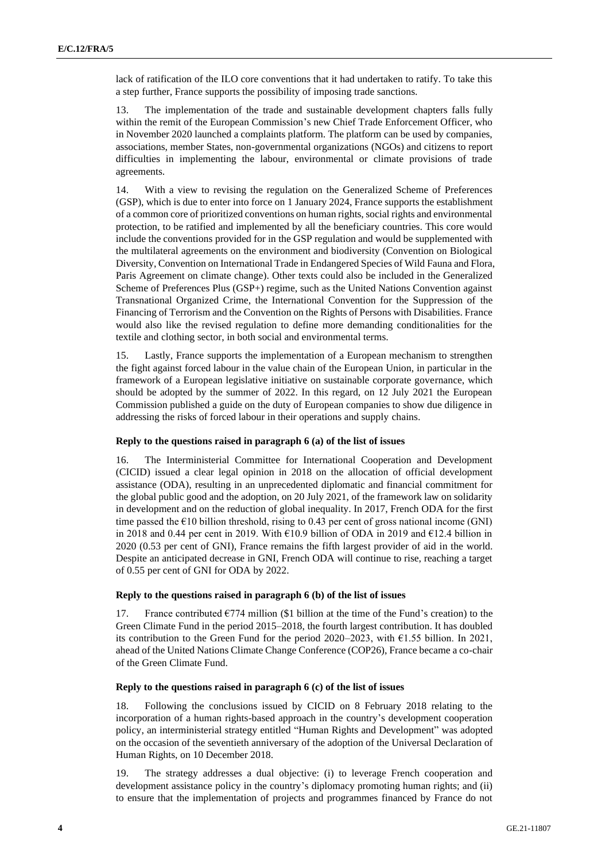lack of ratification of the ILO core conventions that it had undertaken to ratify. To take this a step further, France supports the possibility of imposing trade sanctions.

13. The implementation of the trade and sustainable development chapters falls fully within the remit of the European Commission's new Chief Trade Enforcement Officer, who in November 2020 launched a complaints platform. The platform can be used by companies, associations, member States, non-governmental organizations (NGOs) and citizens to report difficulties in implementing the labour, environmental or climate provisions of trade agreements.

14. With a view to revising the regulation on the Generalized Scheme of Preferences (GSP), which is due to enter into force on 1 January 2024, France supports the establishment of a common core of prioritized conventions on human rights, social rights and environmental protection, to be ratified and implemented by all the beneficiary countries. This core would include the conventions provided for in the GSP regulation and would be supplemented with the multilateral agreements on the environment and biodiversity (Convention on Biological Diversity, Convention on International Trade in Endangered Species of Wild Fauna and Flora, Paris Agreement on climate change). Other texts could also be included in the Generalized Scheme of Preferences Plus (GSP+) regime, such as the United Nations Convention against Transnational Organized Crime, the International Convention for the Suppression of the Financing of Terrorism and the Convention on the Rights of Persons with Disabilities. France would also like the revised regulation to define more demanding conditionalities for the textile and clothing sector, in both social and environmental terms.

15. Lastly, France supports the implementation of a European mechanism to strengthen the fight against forced labour in the value chain of the European Union, in particular in the framework of a European legislative initiative on sustainable corporate governance, which should be adopted by the summer of 2022. In this regard, on 12 July 2021 the European Commission published a guide on the duty of European companies to show due diligence in addressing the risks of forced labour in their operations and supply chains.

## **Reply to the questions raised in paragraph 6 (a) of the list of issues**

16. The Interministerial Committee for International Cooperation and Development (CICID) issued a clear legal opinion in 2018 on the allocation of official development assistance (ODA), resulting in an unprecedented diplomatic and financial commitment for the global public good and the adoption, on 20 July 2021, of the framework law on solidarity in development and on the reduction of global inequality. In 2017, French ODA for the first time passed the  $E10$  billion threshold, rising to 0.43 per cent of gross national income (GNI) in 2018 and 0.44 per cent in 2019. With  $\epsilon$ 10.9 billion of ODA in 2019 and  $\epsilon$ 12.4 billion in 2020 (0.53 per cent of GNI), France remains the fifth largest provider of aid in the world. Despite an anticipated decrease in GNI, French ODA will continue to rise, reaching a target of 0.55 per cent of GNI for ODA by 2022.

## **Reply to the questions raised in paragraph 6 (b) of the list of issues**

17. France contributed  $E$ 774 million (\$1 billion at the time of the Fund's creation) to the Green Climate Fund in the period 2015–2018, the fourth largest contribution. It has doubled its contribution to the Green Fund for the period 2020–2023, with €1.55 billion. In 2021, ahead of the United Nations Climate Change Conference (COP26), France became a co-chair of the Green Climate Fund.

## **Reply to the questions raised in paragraph 6 (c) of the list of issues**

18. Following the conclusions issued by CICID on 8 February 2018 relating to the incorporation of a human rights-based approach in the country's development cooperation policy, an interministerial strategy entitled "Human Rights and Development" was adopted on the occasion of the seventieth anniversary of the adoption of the Universal Declaration of Human Rights, on 10 December 2018.

19. The strategy addresses a dual objective: (i) to leverage French cooperation and development assistance policy in the country's diplomacy promoting human rights; and (ii) to ensure that the implementation of projects and programmes financed by France do not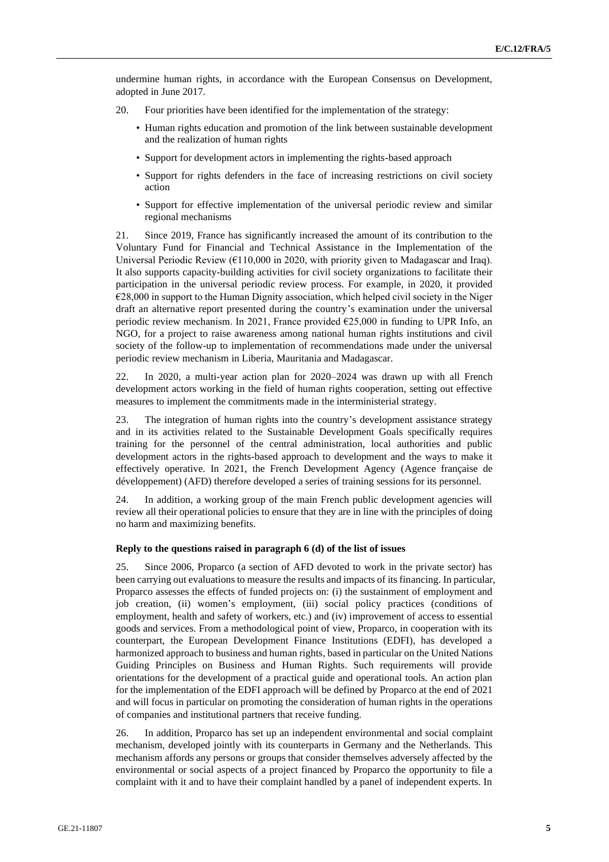undermine human rights, in accordance with the European Consensus on Development, adopted in June 2017.

- 20. Four priorities have been identified for the implementation of the strategy:
	- Human rights education and promotion of the link between sustainable development and the realization of human rights
	- Support for development actors in implementing the rights-based approach
	- Support for rights defenders in the face of increasing restrictions on civil society action
	- Support for effective implementation of the universal periodic review and similar regional mechanisms

21. Since 2019, France has significantly increased the amount of its contribution to the Voluntary Fund for Financial and Technical Assistance in the Implementation of the Universal Periodic Review ( $E110,000$  in 2020, with priority given to Madagascar and Iraq). It also supports capacity-building activities for civil society organizations to facilitate their participation in the universal periodic review process. For example, in 2020, it provided €28,000 in support to the Human Dignity association, which helped civil society in the Niger draft an alternative report presented during the country's examination under the universal periodic review mechanism. In 2021, France provided  $\epsilon$ 25,000 in funding to UPR Info, an NGO, for a project to raise awareness among national human rights institutions and civil society of the follow-up to implementation of recommendations made under the universal periodic review mechanism in Liberia, Mauritania and Madagascar.

22. In 2020, a multi-year action plan for 2020–2024 was drawn up with all French development actors working in the field of human rights cooperation, setting out effective measures to implement the commitments made in the interministerial strategy.

23. The integration of human rights into the country's development assistance strategy and in its activities related to the Sustainable Development Goals specifically requires training for the personnel of the central administration, local authorities and public development actors in the rights-based approach to development and the ways to make it effectively operative. In 2021, the French Development Agency (Agence française de développement) (AFD) therefore developed a series of training sessions for its personnel.

24. In addition, a working group of the main French public development agencies will review all their operational policies to ensure that they are in line with the principles of doing no harm and maximizing benefits.

#### **Reply to the questions raised in paragraph 6 (d) of the list of issues**

25. Since 2006, Proparco (a section of AFD devoted to work in the private sector) has been carrying out evaluations to measure the results and impacts of its financing. In particular, Proparco assesses the effects of funded projects on: (i) the sustainment of employment and job creation, (ii) women's employment, (iii) social policy practices (conditions of employment, health and safety of workers, etc.) and (iv) improvement of access to essential goods and services. From a methodological point of view, Proparco, in cooperation with its counterpart, the European Development Finance Institutions (EDFI), has developed a harmonized approach to business and human rights, based in particular on the United Nations Guiding Principles on Business and Human Rights. Such requirements will provide orientations for the development of a practical guide and operational tools. An action plan for the implementation of the EDFI approach will be defined by Proparco at the end of 2021 and will focus in particular on promoting the consideration of human rights in the operations of companies and institutional partners that receive funding.

26. In addition, Proparco has set up an independent environmental and social complaint mechanism, developed jointly with its counterparts in Germany and the Netherlands. This mechanism affords any persons or groups that consider themselves adversely affected by the environmental or social aspects of a project financed by Proparco the opportunity to file a complaint with it and to have their complaint handled by a panel of independent experts. In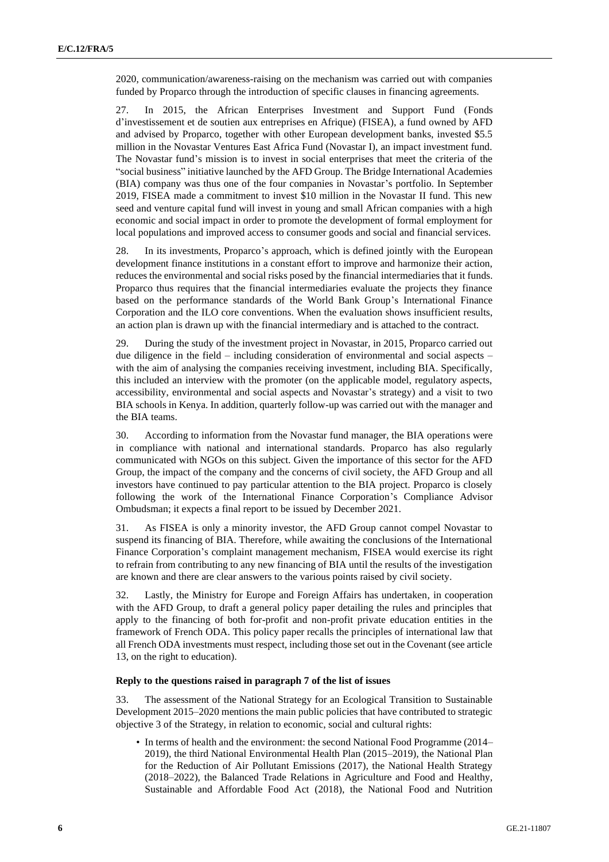2020, communication/awareness-raising on the mechanism was carried out with companies funded by Proparco through the introduction of specific clauses in financing agreements.

27. In 2015, the African Enterprises Investment and Support Fund (Fonds d'investissement et de soutien aux entreprises en Afrique) (FISEA), a fund owned by AFD and advised by Proparco, together with other European development banks, invested \$5.5 million in the Novastar Ventures East Africa Fund (Novastar I), an impact investment fund. The Novastar fund's mission is to invest in social enterprises that meet the criteria of the "social business" initiative launched by the AFD Group. The Bridge International Academies (BIA) company was thus one of the four companies in Novastar's portfolio. In September 2019, FISEA made a commitment to invest \$10 million in the Novastar II fund. This new seed and venture capital fund will invest in young and small African companies with a high economic and social impact in order to promote the development of formal employment for local populations and improved access to consumer goods and social and financial services.

28. In its investments, Proparco's approach, which is defined jointly with the European development finance institutions in a constant effort to improve and harmonize their action, reduces the environmental and social risks posed by the financial intermediaries that it funds. Proparco thus requires that the financial intermediaries evaluate the projects they finance based on the performance standards of the World Bank Group's International Finance Corporation and the ILO core conventions. When the evaluation shows insufficient results, an action plan is drawn up with the financial intermediary and is attached to the contract.

29. During the study of the investment project in Novastar, in 2015, Proparco carried out due diligence in the field – including consideration of environmental and social aspects – with the aim of analysing the companies receiving investment, including BIA. Specifically, this included an interview with the promoter (on the applicable model, regulatory aspects, accessibility, environmental and social aspects and Novastar's strategy) and a visit to two BIA schools in Kenya. In addition, quarterly follow-up was carried out with the manager and the BIA teams.

30. According to information from the Novastar fund manager, the BIA operations were in compliance with national and international standards. Proparco has also regularly communicated with NGOs on this subject. Given the importance of this sector for the AFD Group, the impact of the company and the concerns of civil society, the AFD Group and all investors have continued to pay particular attention to the BIA project. Proparco is closely following the work of the International Finance Corporation's Compliance Advisor Ombudsman; it expects a final report to be issued by December 2021.

31. As FISEA is only a minority investor, the AFD Group cannot compel Novastar to suspend its financing of BIA. Therefore, while awaiting the conclusions of the International Finance Corporation's complaint management mechanism, FISEA would exercise its right to refrain from contributing to any new financing of BIA until the results of the investigation are known and there are clear answers to the various points raised by civil society.

32. Lastly, the Ministry for Europe and Foreign Affairs has undertaken, in cooperation with the AFD Group, to draft a general policy paper detailing the rules and principles that apply to the financing of both for-profit and non-profit private education entities in the framework of French ODA. This policy paper recalls the principles of international law that all French ODA investments must respect, including those set out in the Covenant (see article 13, on the right to education).

#### **Reply to the questions raised in paragraph 7 of the list of issues**

33. The assessment of the National Strategy for an Ecological Transition to Sustainable Development 2015–2020 mentions the main public policies that have contributed to strategic objective 3 of the Strategy, in relation to economic, social and cultural rights:

• In terms of health and the environment: the second National Food Programme (2014– 2019), the third National Environmental Health Plan (2015–2019), the National Plan for the Reduction of Air Pollutant Emissions (2017), the National Health Strategy (2018–2022), the Balanced Trade Relations in Agriculture and Food and Healthy, Sustainable and Affordable Food Act (2018), the National Food and Nutrition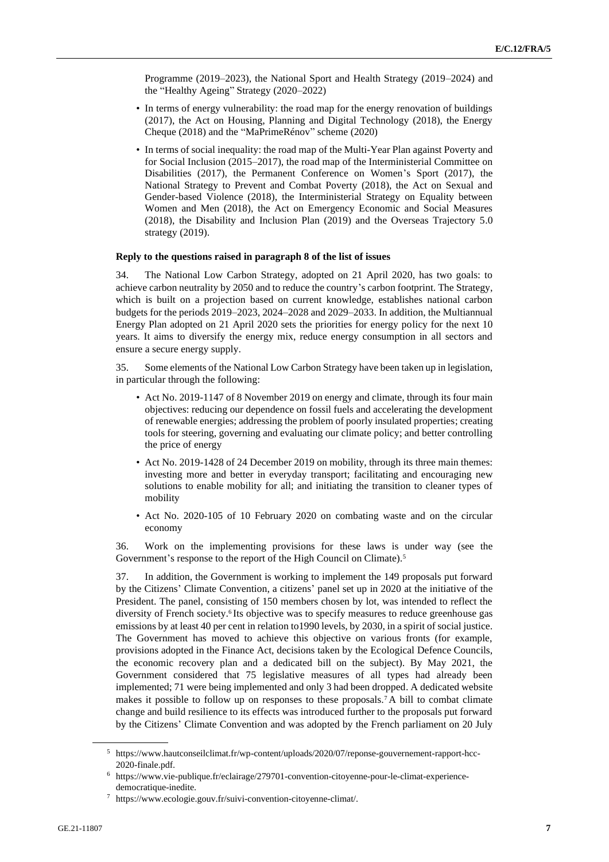Programme (2019–2023), the National Sport and Health Strategy (2019–2024) and the "Healthy Ageing" Strategy (2020–2022)

- In terms of energy vulnerability: the road map for the energy renovation of buildings (2017), the Act on Housing, Planning and Digital Technology (2018), the Energy Cheque (2018) and the "MaPrimeRénov" scheme (2020)
- In terms of social inequality: the road map of the Multi-Year Plan against Poverty and for Social Inclusion (2015–2017), the road map of the Interministerial Committee on Disabilities (2017), the Permanent Conference on Women's Sport (2017), the National Strategy to Prevent and Combat Poverty (2018), the Act on Sexual and Gender-based Violence (2018), the Interministerial Strategy on Equality between Women and Men (2018), the Act on Emergency Economic and Social Measures (2018), the Disability and Inclusion Plan (2019) and the Overseas Trajectory 5.0 strategy (2019).

## **Reply to the questions raised in paragraph 8 of the list of issues**

34. The National Low Carbon Strategy, adopted on 21 April 2020, has two goals: to achieve carbon neutrality by 2050 and to reduce the country's carbon footprint. The Strategy, which is built on a projection based on current knowledge, establishes national carbon budgets for the periods 2019–2023, 2024–2028 and 2029–2033. In addition, the Multiannual Energy Plan adopted on 21 April 2020 sets the priorities for energy policy for the next 10 years. It aims to diversify the energy mix, reduce energy consumption in all sectors and ensure a secure energy supply.

35. Some elements of the National Low Carbon Strategy have been taken up in legislation, in particular through the following:

- Act No. 2019-1147 of 8 November 2019 on energy and climate, through its four main objectives: reducing our dependence on fossil fuels and accelerating the development of renewable energies; addressing the problem of poorly insulated properties; creating tools for steering, governing and evaluating our climate policy; and better controlling the price of energy
- Act No. 2019-1428 of 24 December 2019 on mobility, through its three main themes: investing more and better in everyday transport; facilitating and encouraging new solutions to enable mobility for all; and initiating the transition to cleaner types of mobility
- Act No. 2020-105 of 10 February 2020 on combating waste and on the circular economy

36. Work on the implementing provisions for these laws is under way (see the Government's response to the report of the High Council on Climate).<sup>5</sup>

37. In addition, the Government is working to implement the 149 proposals put forward by the Citizens' Climate Convention, a citizens' panel set up in 2020 at the initiative of the President. The panel, consisting of 150 members chosen by lot, was intended to reflect the diversity of French society.<sup>6</sup> Its objective was to specify measures to reduce greenhouse gas emissions by at least 40 per cent in relation to 1990 levels, by 2030, in a spirit of social justice. The Government has moved to achieve this objective on various fronts (for example, provisions adopted in the Finance Act, decisions taken by the Ecological Defence Councils, the economic recovery plan and a dedicated bill on the subject). By May 2021, the Government considered that 75 legislative measures of all types had already been implemented; 71 were being implemented and only 3 had been dropped. A dedicated website makes it possible to follow up on responses to these proposals.<sup>7</sup> A bill to combat climate change and build resilience to its effects was introduced further to the proposals put forward by the Citizens' Climate Convention and was adopted by the French parliament on 20 July

<sup>5</sup> https://www.hautconseilclimat.fr/wp-content/uploads/2020/07/reponse-gouvernement-rapport-hcc-2020-finale.pdf.

<sup>6</sup> https://www.vie-publique.fr/eclairage/279701-convention-citoyenne-pour-le-climat-experiencedemocratique-inedite.

<sup>7</sup> https://www.ecologie.gouv.fr/suivi-convention-citoyenne-climat/.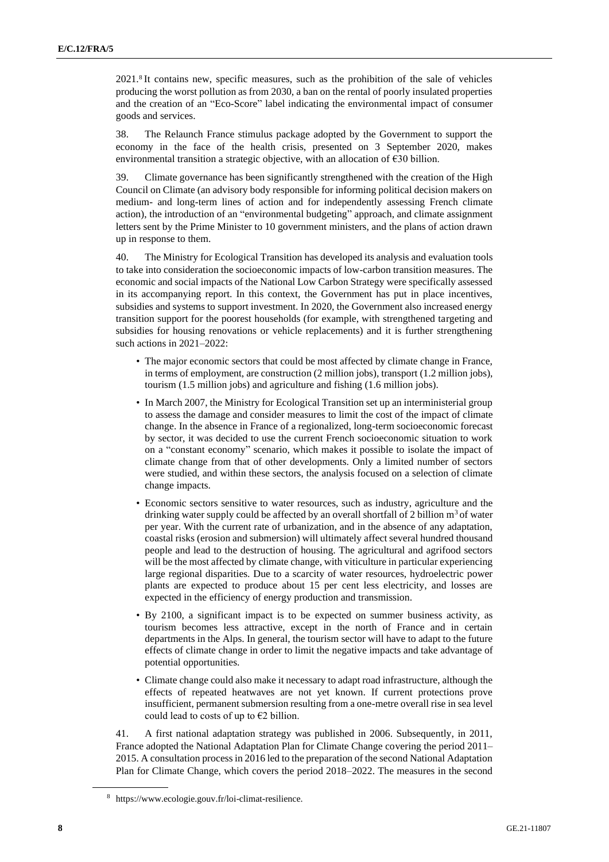2021.<sup>8</sup> It contains new, specific measures, such as the prohibition of the sale of vehicles producing the worst pollution as from 2030, a ban on the rental of poorly insulated properties and the creation of an "Eco-Score" label indicating the environmental impact of consumer goods and services.

38. The Relaunch France stimulus package adopted by the Government to support the economy in the face of the health crisis, presented on 3 September 2020, makes environmental transition a strategic objective, with an allocation of €30 billion.

39. Climate governance has been significantly strengthened with the creation of the High Council on Climate (an advisory body responsible for informing political decision makers on medium- and long-term lines of action and for independently assessing French climate action), the introduction of an "environmental budgeting" approach, and climate assignment letters sent by the Prime Minister to 10 government ministers, and the plans of action drawn up in response to them.

40. The Ministry for Ecological Transition has developed its analysis and evaluation tools to take into consideration the socioeconomic impacts of low-carbon transition measures. The economic and social impacts of the National Low Carbon Strategy were specifically assessed in its accompanying report. In this context, the Government has put in place incentives, subsidies and systems to support investment. In 2020, the Government also increased energy transition support for the poorest households (for example, with strengthened targeting and subsidies for housing renovations or vehicle replacements) and it is further strengthening such actions in 2021–2022:

- The major economic sectors that could be most affected by climate change in France, in terms of employment, are construction (2 million jobs), transport (1.2 million jobs), tourism (1.5 million jobs) and agriculture and fishing (1.6 million jobs).
- In March 2007, the Ministry for Ecological Transition set up an interministerial group to assess the damage and consider measures to limit the cost of the impact of climate change. In the absence in France of a regionalized, long-term socioeconomic forecast by sector, it was decided to use the current French socioeconomic situation to work on a "constant economy" scenario, which makes it possible to isolate the impact of climate change from that of other developments. Only a limited number of sectors were studied, and within these sectors, the analysis focused on a selection of climate change impacts.
- Economic sectors sensitive to water resources, such as industry, agriculture and the drinking water supply could be affected by an overall shortfall of 2 billion  $m<sup>3</sup>$  of water per year. With the current rate of urbanization, and in the absence of any adaptation, coastal risks (erosion and submersion) will ultimately affect several hundred thousand people and lead to the destruction of housing. The agricultural and agrifood sectors will be the most affected by climate change, with viticulture in particular experiencing large regional disparities. Due to a scarcity of water resources, hydroelectric power plants are expected to produce about 15 per cent less electricity, and losses are expected in the efficiency of energy production and transmission.
- By 2100, a significant impact is to be expected on summer business activity, as tourism becomes less attractive, except in the north of France and in certain departments in the Alps. In general, the tourism sector will have to adapt to the future effects of climate change in order to limit the negative impacts and take advantage of potential opportunities.
- Climate change could also make it necessary to adapt road infrastructure, although the effects of repeated heatwaves are not yet known. If current protections prove insufficient, permanent submersion resulting from a one-metre overall rise in sea level could lead to costs of up to  $E2$  billion.

41. A first national adaptation strategy was published in 2006. Subsequently, in 2011, France adopted the National Adaptation Plan for Climate Change covering the period 2011– 2015. A consultation process in 2016 led to the preparation of the second National Adaptation Plan for Climate Change, which covers the period 2018–2022. The measures in the second

<sup>8</sup> https://www.ecologie.gouv.fr/loi-climat-resilience.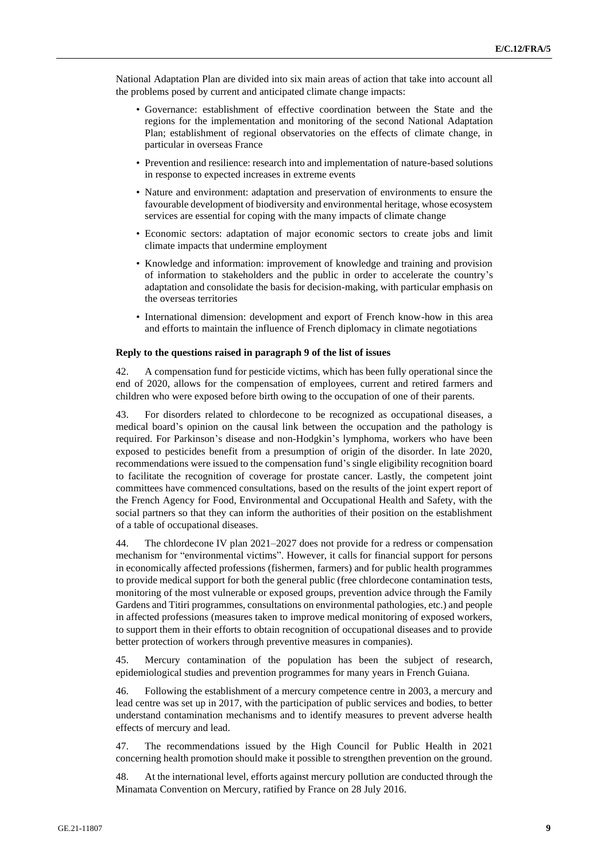National Adaptation Plan are divided into six main areas of action that take into account all the problems posed by current and anticipated climate change impacts:

- Governance: establishment of effective coordination between the State and the regions for the implementation and monitoring of the second National Adaptation Plan; establishment of regional observatories on the effects of climate change, in particular in overseas France
- Prevention and resilience: research into and implementation of nature-based solutions in response to expected increases in extreme events
- Nature and environment: adaptation and preservation of environments to ensure the favourable development of biodiversity and environmental heritage, whose ecosystem services are essential for coping with the many impacts of climate change
- Economic sectors: adaptation of major economic sectors to create jobs and limit climate impacts that undermine employment
- Knowledge and information: improvement of knowledge and training and provision of information to stakeholders and the public in order to accelerate the country's adaptation and consolidate the basis for decision-making, with particular emphasis on the overseas territories
- International dimension: development and export of French know-how in this area and efforts to maintain the influence of French diplomacy in climate negotiations

#### **Reply to the questions raised in paragraph 9 of the list of issues**

42. A compensation fund for pesticide victims, which has been fully operational since the end of 2020, allows for the compensation of employees, current and retired farmers and children who were exposed before birth owing to the occupation of one of their parents.

43. For disorders related to chlordecone to be recognized as occupational diseases, a medical board's opinion on the causal link between the occupation and the pathology is required. For Parkinson's disease and non-Hodgkin's lymphoma, workers who have been exposed to pesticides benefit from a presumption of origin of the disorder. In late 2020, recommendations were issued to the compensation fund's single eligibility recognition board to facilitate the recognition of coverage for prostate cancer. Lastly, the competent joint committees have commenced consultations, based on the results of the joint expert report of the French Agency for Food, Environmental and Occupational Health and Safety, with the social partners so that they can inform the authorities of their position on the establishment of a table of occupational diseases.

44. The chlordecone IV plan 2021–2027 does not provide for a redress or compensation mechanism for "environmental victims". However, it calls for financial support for persons in economically affected professions (fishermen, farmers) and for public health programmes to provide medical support for both the general public (free chlordecone contamination tests, monitoring of the most vulnerable or exposed groups, prevention advice through the Family Gardens and Titiri programmes, consultations on environmental pathologies, etc.) and people in affected professions (measures taken to improve medical monitoring of exposed workers, to support them in their efforts to obtain recognition of occupational diseases and to provide better protection of workers through preventive measures in companies).

45. Mercury contamination of the population has been the subject of research, epidemiological studies and prevention programmes for many years in French Guiana.

46. Following the establishment of a mercury competence centre in 2003, a mercury and lead centre was set up in 2017, with the participation of public services and bodies, to better understand contamination mechanisms and to identify measures to prevent adverse health effects of mercury and lead.

47. The recommendations issued by the High Council for Public Health in 2021 concerning health promotion should make it possible to strengthen prevention on the ground.

48. At the international level, efforts against mercury pollution are conducted through the Minamata Convention on Mercury, ratified by France on 28 July 2016.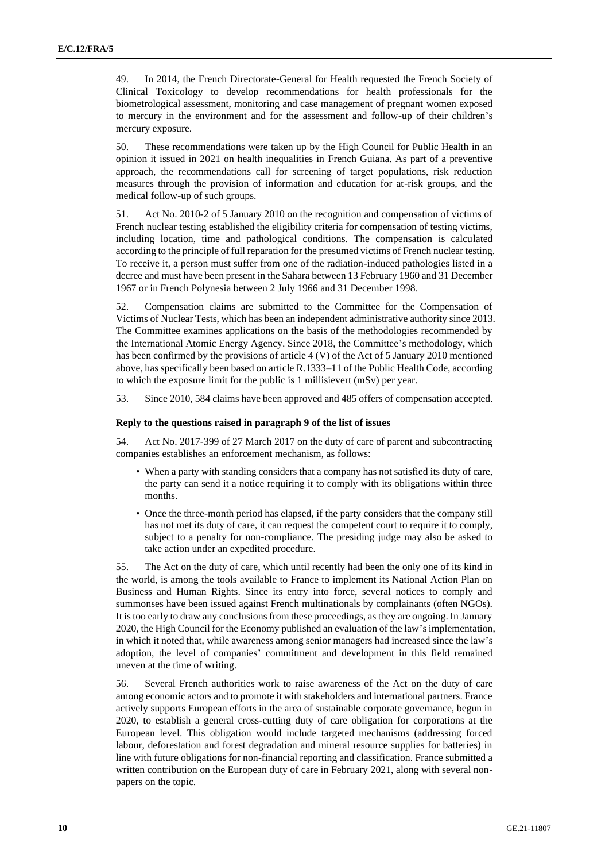49. In 2014, the French Directorate-General for Health requested the French Society of Clinical Toxicology to develop recommendations for health professionals for the biometrological assessment, monitoring and case management of pregnant women exposed to mercury in the environment and for the assessment and follow-up of their children's mercury exposure.

50. These recommendations were taken up by the High Council for Public Health in an opinion it issued in 2021 on health inequalities in French Guiana. As part of a preventive approach, the recommendations call for screening of target populations, risk reduction measures through the provision of information and education for at-risk groups, and the medical follow-up of such groups.

51. Act No. 2010-2 of 5 January 2010 on the recognition and compensation of victims of French nuclear testing established the eligibility criteria for compensation of testing victims, including location, time and pathological conditions. The compensation is calculated according to the principle of full reparation for the presumed victims of French nuclear testing. To receive it, a person must suffer from one of the radiation-induced pathologies listed in a decree and must have been present in the Sahara between 13 February 1960 and 31 December 1967 or in French Polynesia between 2 July 1966 and 31 December 1998.

52. Compensation claims are submitted to the Committee for the Compensation of Victims of Nuclear Tests, which has been an independent administrative authority since 2013. The Committee examines applications on the basis of the methodologies recommended by the International Atomic Energy Agency. Since 2018, the Committee's methodology, which has been confirmed by the provisions of article 4 (V) of the Act of 5 January 2010 mentioned above, has specifically been based on article R.1333–11 of the Public Health Code, according to which the exposure limit for the public is 1 millisievert (mSv) per year.

53. Since 2010, 584 claims have been approved and 485 offers of compensation accepted.

## **Reply to the questions raised in paragraph 9 of the list of issues**

54. Act No. 2017-399 of 27 March 2017 on the duty of care of parent and subcontracting companies establishes an enforcement mechanism, as follows:

- When a party with standing considers that a company has not satisfied its duty of care, the party can send it a notice requiring it to comply with its obligations within three months.
- Once the three-month period has elapsed, if the party considers that the company still has not met its duty of care, it can request the competent court to require it to comply, subject to a penalty for non-compliance. The presiding judge may also be asked to take action under an expedited procedure.

55. The Act on the duty of care, which until recently had been the only one of its kind in the world, is among the tools available to France to implement its National Action Plan on Business and Human Rights. Since its entry into force, several notices to comply and summonses have been issued against French multinationals by complainants (often NGOs). It is too early to draw any conclusions from these proceedings, as they are ongoing. In January 2020, the High Council for the Economy published an evaluation of the law's implementation, in which it noted that, while awareness among senior managers had increased since the law's adoption, the level of companies' commitment and development in this field remained uneven at the time of writing.

56. Several French authorities work to raise awareness of the Act on the duty of care among economic actors and to promote it with stakeholders and international partners. France actively supports European efforts in the area of sustainable corporate governance, begun in 2020, to establish a general cross-cutting duty of care obligation for corporations at the European level. This obligation would include targeted mechanisms (addressing forced labour, deforestation and forest degradation and mineral resource supplies for batteries) in line with future obligations for non-financial reporting and classification. France submitted a written contribution on the European duty of care in February 2021, along with several nonpapers on the topic.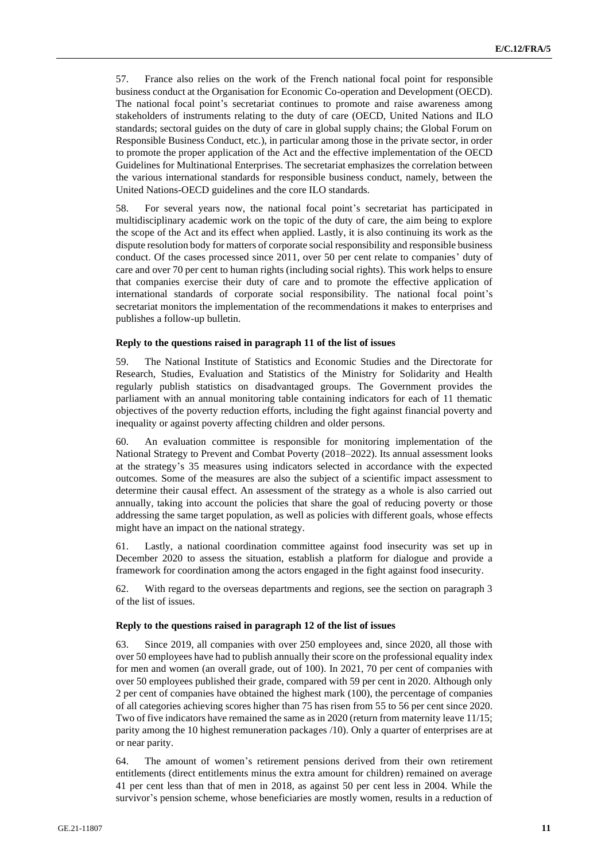57. France also relies on the work of the French national focal point for responsible business conduct at the Organisation for Economic Co-operation and Development (OECD). The national focal point's secretariat continues to promote and raise awareness among stakeholders of instruments relating to the duty of care (OECD, United Nations and ILO standards; sectoral guides on the duty of care in global supply chains; the Global Forum on Responsible Business Conduct, etc.), in particular among those in the private sector, in order to promote the proper application of the Act and the effective implementation of the OECD Guidelines for Multinational Enterprises. The secretariat emphasizes the correlation between the various international standards for responsible business conduct, namely, between the United Nations-OECD guidelines and the core ILO standards.

58. For several years now, the national focal point's secretariat has participated in multidisciplinary academic work on the topic of the duty of care, the aim being to explore the scope of the Act and its effect when applied. Lastly, it is also continuing its work as the dispute resolution body for matters of corporate social responsibility and responsible business conduct. Of the cases processed since 2011, over 50 per cent relate to companies' duty of care and over 70 per cent to human rights (including social rights). This work helps to ensure that companies exercise their duty of care and to promote the effective application of international standards of corporate social responsibility. The national focal point's secretariat monitors the implementation of the recommendations it makes to enterprises and publishes a follow-up bulletin.

## **Reply to the questions raised in paragraph 11 of the list of issues**

59. The National Institute of Statistics and Economic Studies and the Directorate for Research, Studies, Evaluation and Statistics of the Ministry for Solidarity and Health regularly publish statistics on disadvantaged groups. The Government provides the parliament with an annual monitoring table containing indicators for each of 11 thematic objectives of the poverty reduction efforts, including the fight against financial poverty and inequality or against poverty affecting children and older persons.

60. An evaluation committee is responsible for monitoring implementation of the National Strategy to Prevent and Combat Poverty (2018–2022). Its annual assessment looks at the strategy's 35 measures using indicators selected in accordance with the expected outcomes. Some of the measures are also the subject of a scientific impact assessment to determine their causal effect. An assessment of the strategy as a whole is also carried out annually, taking into account the policies that share the goal of reducing poverty or those addressing the same target population, as well as policies with different goals, whose effects might have an impact on the national strategy.

61. Lastly, a national coordination committee against food insecurity was set up in December 2020 to assess the situation, establish a platform for dialogue and provide a framework for coordination among the actors engaged in the fight against food insecurity.

62. With regard to the overseas departments and regions, see the section on paragraph 3 of the list of issues.

#### **Reply to the questions raised in paragraph 12 of the list of issues**

63. Since 2019, all companies with over 250 employees and, since 2020, all those with over 50 employees have had to publish annually their score on the professional equality index for men and women (an overall grade, out of 100). In 2021, 70 per cent of companies with over 50 employees published their grade, compared with 59 per cent in 2020. Although only 2 per cent of companies have obtained the highest mark (100), the percentage of companies of all categories achieving scores higher than 75 has risen from 55 to 56 per cent since 2020. Two of five indicators have remained the same as in 2020 (return from maternity leave 11/15; parity among the 10 highest remuneration packages /10). Only a quarter of enterprises are at or near parity.

64. The amount of women's retirement pensions derived from their own retirement entitlements (direct entitlements minus the extra amount for children) remained on average 41 per cent less than that of men in 2018, as against 50 per cent less in 2004. While the survivor's pension scheme, whose beneficiaries are mostly women, results in a reduction of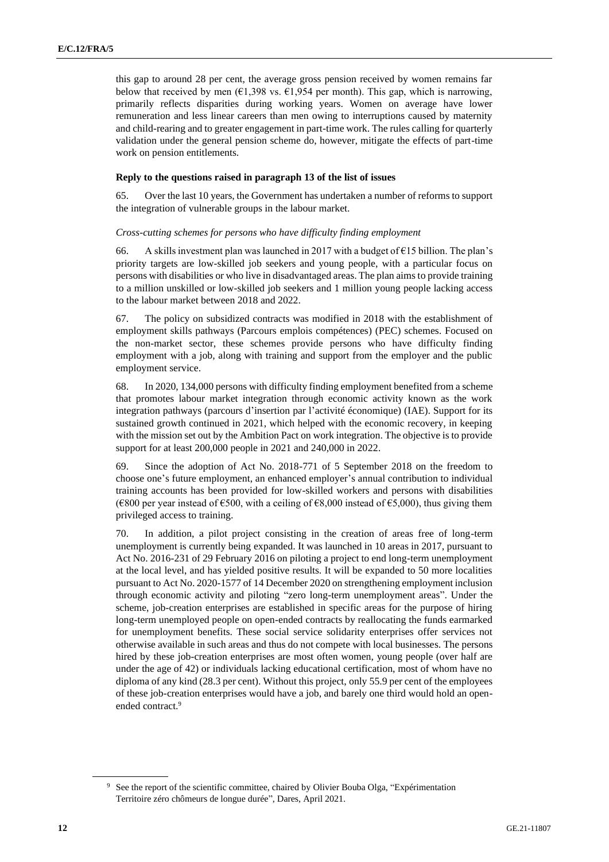this gap to around 28 per cent, the average gross pension received by women remains far below that received by men ( $\epsilon$ 1,398 vs.  $\epsilon$ 1,954 per month). This gap, which is narrowing, primarily reflects disparities during working years. Women on average have lower remuneration and less linear careers than men owing to interruptions caused by maternity and child-rearing and to greater engagement in part-time work. The rules calling for quarterly validation under the general pension scheme do, however, mitigate the effects of part-time work on pension entitlements.

## **Reply to the questions raised in paragraph 13 of the list of issues**

65. Over the last 10 years, the Government has undertaken a number of reforms to support the integration of vulnerable groups in the labour market.

### *Cross-cutting schemes for persons who have difficulty finding employment*

66. A skills investment plan was launched in 2017 with a budget of  $E15$  billion. The plan's priority targets are low-skilled job seekers and young people, with a particular focus on persons with disabilities or who live in disadvantaged areas. The plan aims to provide training to a million unskilled or low-skilled job seekers and 1 million young people lacking access to the labour market between 2018 and 2022.

67. The policy on subsidized contracts was modified in 2018 with the establishment of employment skills pathways (Parcours emplois compétences) (PEC) schemes. Focused on the non-market sector, these schemes provide persons who have difficulty finding employment with a job, along with training and support from the employer and the public employment service.

68. In 2020, 134,000 persons with difficulty finding employment benefited from a scheme that promotes labour market integration through economic activity known as the work integration pathways (parcours d'insertion par l'activité économique) (IAE). Support for its sustained growth continued in 2021, which helped with the economic recovery, in keeping with the mission set out by the Ambition Pact on work integration. The objective is to provide support for at least 200,000 people in 2021 and 240,000 in 2022.

69. Since the adoption of Act No. 2018-771 of 5 September 2018 on the freedom to choose one's future employment, an enhanced employer's annual contribution to individual training accounts has been provided for low-skilled workers and persons with disabilities ( $\epsilon$ 800 per year instead of  $\epsilon$ 500, with a ceiling of  $\epsilon$ 8,000 instead of  $\epsilon$ 5,000), thus giving them privileged access to training.

70. In addition, a pilot project consisting in the creation of areas free of long-term unemployment is currently being expanded. It was launched in 10 areas in 2017, pursuant to Act No. 2016-231 of 29 February 2016 on piloting a project to end long-term unemployment at the local level, and has yielded positive results. It will be expanded to 50 more localities pursuant to Act No. 2020-1577 of 14 December 2020 on strengthening employment inclusion through economic activity and piloting "zero long-term unemployment areas". Under the scheme, job-creation enterprises are established in specific areas for the purpose of hiring long-term unemployed people on open-ended contracts by reallocating the funds earmarked for unemployment benefits. These social service solidarity enterprises offer services not otherwise available in such areas and thus do not compete with local businesses. The persons hired by these job-creation enterprises are most often women, young people (over half are under the age of 42) or individuals lacking educational certification, most of whom have no diploma of any kind (28.3 per cent). Without this project, only 55.9 per cent of the employees of these job-creation enterprises would have a job, and barely one third would hold an openended contract.<sup>9</sup>

<sup>&</sup>lt;sup>9</sup> See the report of the scientific committee, chaired by Olivier Bouba Olga, "Expérimentation Territoire zéro chômeurs de longue durée", Dares, April 2021.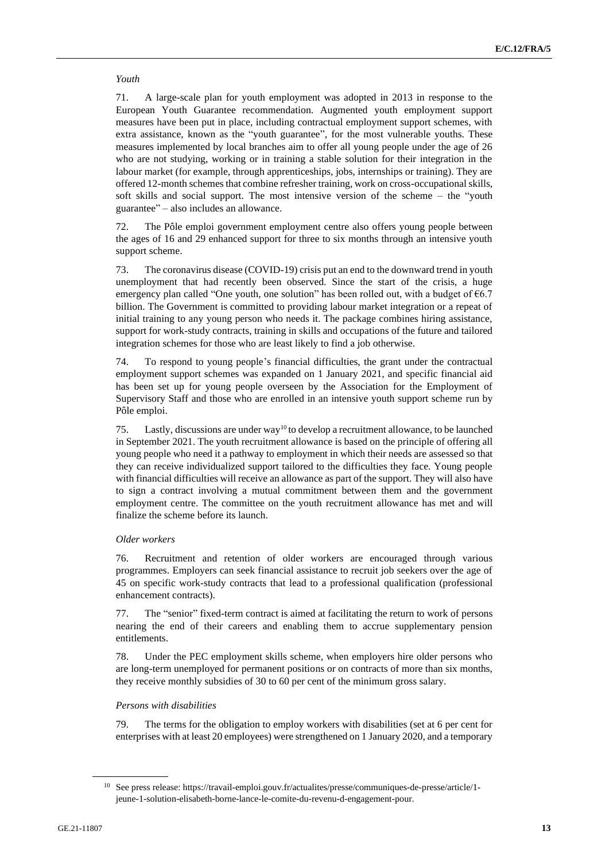## *Youth*

71. A large-scale plan for youth employment was adopted in 2013 in response to the European Youth Guarantee recommendation. Augmented youth employment support measures have been put in place, including contractual employment support schemes, with extra assistance, known as the "youth guarantee", for the most vulnerable youths. These measures implemented by local branches aim to offer all young people under the age of 26 who are not studying, working or in training a stable solution for their integration in the labour market (for example, through apprenticeships, jobs, internships or training). They are offered 12-month schemes that combine refresher training, work on cross-occupational skills, soft skills and social support. The most intensive version of the scheme – the "youth guarantee" – also includes an allowance.

72. The Pôle emploi government employment centre also offers young people between the ages of 16 and 29 enhanced support for three to six months through an intensive youth support scheme.

73. The coronavirus disease (COVID-19) crisis put an end to the downward trend in youth unemployment that had recently been observed. Since the start of the crisis, a huge emergency plan called "One youth, one solution" has been rolled out, with a budget of  $66.7$ billion. The Government is committed to providing labour market integration or a repeat of initial training to any young person who needs it. The package combines hiring assistance, support for work-study contracts, training in skills and occupations of the future and tailored integration schemes for those who are least likely to find a job otherwise.

74. To respond to young people's financial difficulties, the grant under the contractual employment support schemes was expanded on 1 January 2021, and specific financial aid has been set up for young people overseen by the Association for the Employment of Supervisory Staff and those who are enrolled in an intensive youth support scheme run by Pôle emploi.

75. Lastly, discussions are under way<sup>10</sup> to develop a recruitment allowance, to be launched in September 2021. The youth recruitment allowance is based on the principle of offering all young people who need it a pathway to employment in which their needs are assessed so that they can receive individualized support tailored to the difficulties they face. Young people with financial difficulties will receive an allowance as part of the support. They will also have to sign a contract involving a mutual commitment between them and the government employment centre. The committee on the youth recruitment allowance has met and will finalize the scheme before its launch.

## *Older workers*

76. Recruitment and retention of older workers are encouraged through various programmes. Employers can seek financial assistance to recruit job seekers over the age of 45 on specific work-study contracts that lead to a professional qualification (professional enhancement contracts).

77. The "senior" fixed-term contract is aimed at facilitating the return to work of persons nearing the end of their careers and enabling them to accrue supplementary pension entitlements.

78. Under the PEC employment skills scheme, when employers hire older persons who are long-term unemployed for permanent positions or on contracts of more than six months, they receive monthly subsidies of 30 to 60 per cent of the minimum gross salary.

## *Persons with disabilities*

79. The terms for the obligation to employ workers with disabilities (set at 6 per cent for enterprises with at least 20 employees) were strengthened on 1 January 2020, and a temporary

<sup>10</sup> See press release: https://travail-emploi.gouv.fr/actualites/presse/communiques-de-presse/article/1 jeune-1-solution-elisabeth-borne-lance-le-comite-du-revenu-d-engagement-pour.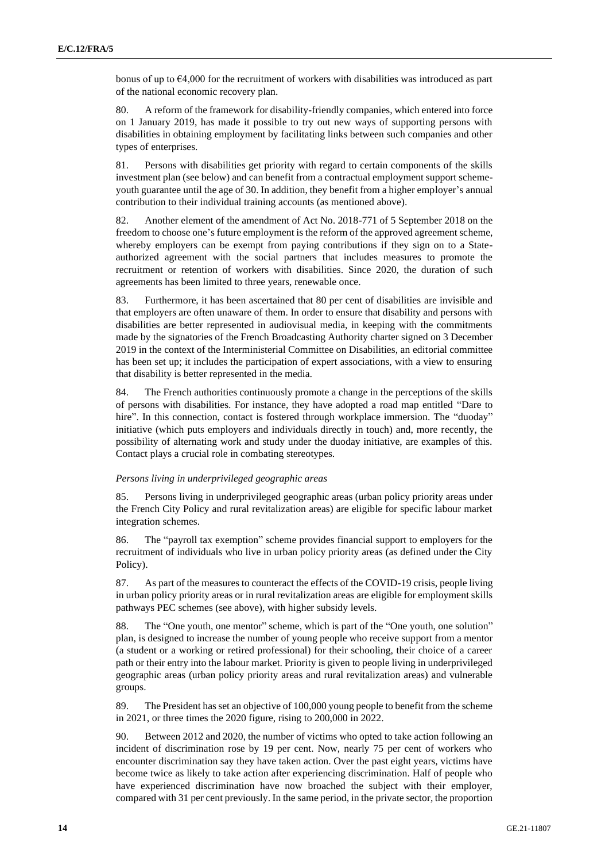bonus of up to €4,000 for the recruitment of workers with disabilities was introduced as part of the national economic recovery plan.

80. A reform of the framework for disability-friendly companies, which entered into force on 1 January 2019, has made it possible to try out new ways of supporting persons with disabilities in obtaining employment by facilitating links between such companies and other types of enterprises.

81. Persons with disabilities get priority with regard to certain components of the skills investment plan (see below) and can benefit from a contractual employment support schemeyouth guarantee until the age of 30. In addition, they benefit from a higher employer's annual contribution to their individual training accounts (as mentioned above).

82. Another element of the amendment of Act No. 2018-771 of 5 September 2018 on the freedom to choose one's future employment is the reform of the approved agreement scheme, whereby employers can be exempt from paying contributions if they sign on to a Stateauthorized agreement with the social partners that includes measures to promote the recruitment or retention of workers with disabilities. Since 2020, the duration of such agreements has been limited to three years, renewable once.

83. Furthermore, it has been ascertained that 80 per cent of disabilities are invisible and that employers are often unaware of them. In order to ensure that disability and persons with disabilities are better represented in audiovisual media, in keeping with the commitments made by the signatories of the French Broadcasting Authority charter signed on 3 December 2019 in the context of the Interministerial Committee on Disabilities, an editorial committee has been set up; it includes the participation of expert associations, with a view to ensuring that disability is better represented in the media.

84. The French authorities continuously promote a change in the perceptions of the skills of persons with disabilities. For instance, they have adopted a road map entitled "Dare to hire". In this connection, contact is fostered through workplace immersion. The "duoday" initiative (which puts employers and individuals directly in touch) and, more recently, the possibility of alternating work and study under the duoday initiative, are examples of this. Contact plays a crucial role in combating stereotypes.

## *Persons living in underprivileged geographic areas*

85. Persons living in underprivileged geographic areas (urban policy priority areas under the French City Policy and rural revitalization areas) are eligible for specific labour market integration schemes.

86. The "payroll tax exemption" scheme provides financial support to employers for the recruitment of individuals who live in urban policy priority areas (as defined under the City Policy).

87. As part of the measures to counteract the effects of the COVID-19 crisis, people living in urban policy priority areas or in rural revitalization areas are eligible for employment skills pathways PEC schemes (see above), with higher subsidy levels.

88. The "One youth, one mentor" scheme, which is part of the "One youth, one solution" plan, is designed to increase the number of young people who receive support from a mentor (a student or a working or retired professional) for their schooling, their choice of a career path or their entry into the labour market. Priority is given to people living in underprivileged geographic areas (urban policy priority areas and rural revitalization areas) and vulnerable groups.

89. The President has set an objective of 100,000 young people to benefit from the scheme in 2021, or three times the 2020 figure, rising to 200,000 in 2022.

90. Between 2012 and 2020, the number of victims who opted to take action following an incident of discrimination rose by 19 per cent. Now, nearly 75 per cent of workers who encounter discrimination say they have taken action. Over the past eight years, victims have become twice as likely to take action after experiencing discrimination. Half of people who have experienced discrimination have now broached the subject with their employer, compared with 31 per cent previously. In the same period, in the private sector, the proportion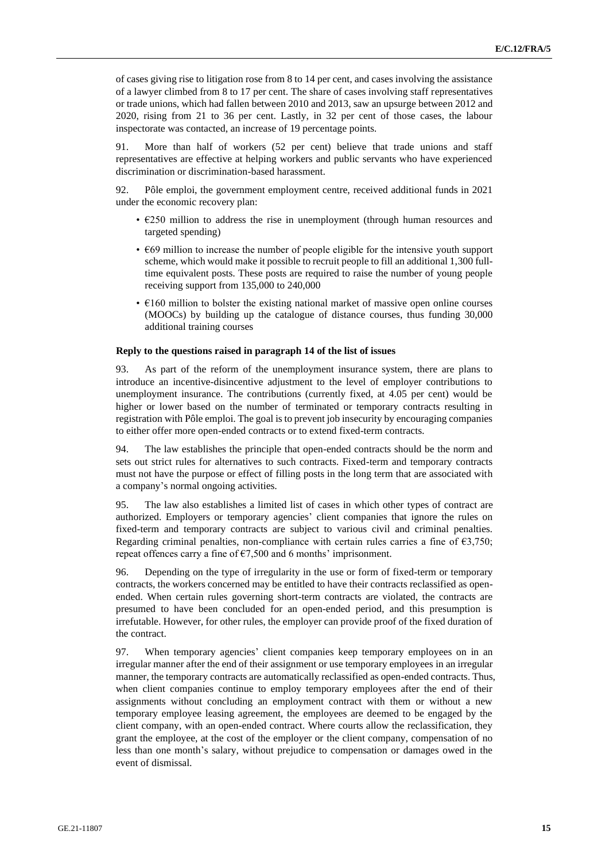of cases giving rise to litigation rose from 8 to 14 per cent, and cases involving the assistance of a lawyer climbed from 8 to 17 per cent. The share of cases involving staff representatives or trade unions, which had fallen between 2010 and 2013, saw an upsurge between 2012 and 2020, rising from 21 to 36 per cent. Lastly, in 32 per cent of those cases, the labour inspectorate was contacted, an increase of 19 percentage points.

91. More than half of workers (52 per cent) believe that trade unions and staff representatives are effective at helping workers and public servants who have experienced discrimination or discrimination-based harassment.

92. Pôle emploi, the government employment centre, received additional funds in 2021 under the economic recovery plan:

- €250 million to address the rise in unemployment (through human resources and targeted spending)
- €69 million to increase the number of people eligible for the intensive youth support scheme, which would make it possible to recruit people to fill an additional 1,300 fulltime equivalent posts. These posts are required to raise the number of young people receiving support from 135,000 to 240,000
- $€160$  million to bolster the existing national market of massive open online courses (MOOCs) by building up the catalogue of distance courses, thus funding 30,000 additional training courses

#### **Reply to the questions raised in paragraph 14 of the list of issues**

93. As part of the reform of the unemployment insurance system, there are plans to introduce an incentive-disincentive adjustment to the level of employer contributions to unemployment insurance. The contributions (currently fixed, at 4.05 per cent) would be higher or lower based on the number of terminated or temporary contracts resulting in registration with Pôle emploi. The goal is to prevent job insecurity by encouraging companies to either offer more open-ended contracts or to extend fixed-term contracts.

94. The law establishes the principle that open-ended contracts should be the norm and sets out strict rules for alternatives to such contracts. Fixed-term and temporary contracts must not have the purpose or effect of filling posts in the long term that are associated with a company's normal ongoing activities.

95. The law also establishes a limited list of cases in which other types of contract are authorized. Employers or temporary agencies' client companies that ignore the rules on fixed-term and temporary contracts are subject to various civil and criminal penalties. Regarding criminal penalties, non-compliance with certain rules carries a fine of  $E$ 3,750; repeat offences carry a fine of  $\epsilon$ 7,500 and 6 months' imprisonment.

96. Depending on the type of irregularity in the use or form of fixed-term or temporary contracts, the workers concerned may be entitled to have their contracts reclassified as openended. When certain rules governing short-term contracts are violated, the contracts are presumed to have been concluded for an open-ended period, and this presumption is irrefutable. However, for other rules, the employer can provide proof of the fixed duration of the contract.

97. When temporary agencies' client companies keep temporary employees on in an irregular manner after the end of their assignment or use temporary employees in an irregular manner, the temporary contracts are automatically reclassified as open-ended contracts. Thus, when client companies continue to employ temporary employees after the end of their assignments without concluding an employment contract with them or without a new temporary employee leasing agreement, the employees are deemed to be engaged by the client company, with an open-ended contract. Where courts allow the reclassification, they grant the employee, at the cost of the employer or the client company, compensation of no less than one month's salary, without prejudice to compensation or damages owed in the event of dismissal.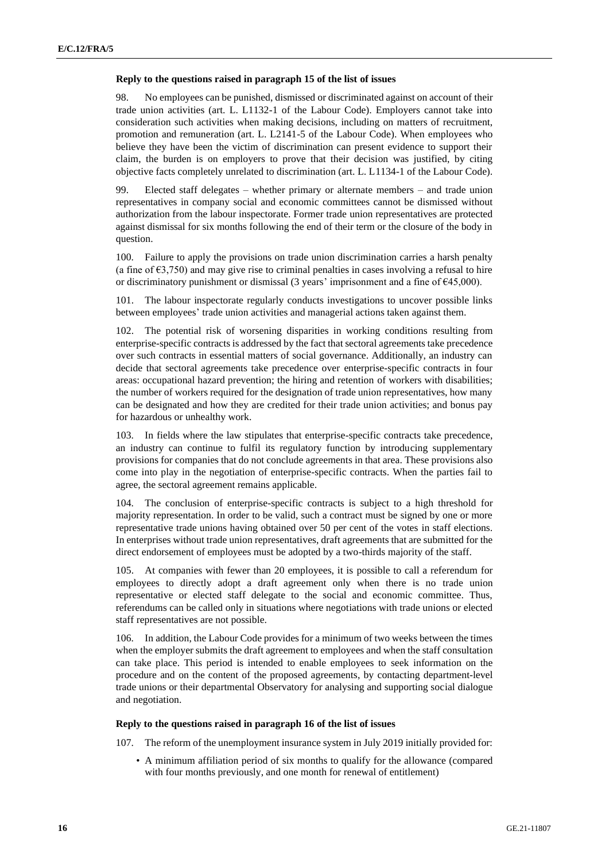#### **Reply to the questions raised in paragraph 15 of the list of issues**

98. No employees can be punished, dismissed or discriminated against on account of their trade union activities (art. L. L1132-1 of the Labour Code). Employers cannot take into consideration such activities when making decisions, including on matters of recruitment, promotion and remuneration (art. L. L2141-5 of the Labour Code). When employees who believe they have been the victim of discrimination can present evidence to support their claim, the burden is on employers to prove that their decision was justified, by citing objective facts completely unrelated to discrimination (art. L. L1134-1 of the Labour Code).

99. Elected staff delegates – whether primary or alternate members – and trade union representatives in company social and economic committees cannot be dismissed without authorization from the labour inspectorate. Former trade union representatives are protected against dismissal for six months following the end of their term or the closure of the body in question.

100. Failure to apply the provisions on trade union discrimination carries a harsh penalty (a fine of  $\epsilon$ 3,750) and may give rise to criminal penalties in cases involving a refusal to hire or discriminatory punishment or dismissal (3 years' imprisonment and a fine of €45,000).

101. The labour inspectorate regularly conducts investigations to uncover possible links between employees' trade union activities and managerial actions taken against them.

102. The potential risk of worsening disparities in working conditions resulting from enterprise-specific contracts is addressed by the fact that sectoral agreements take precedence over such contracts in essential matters of social governance. Additionally, an industry can decide that sectoral agreements take precedence over enterprise-specific contracts in four areas: occupational hazard prevention; the hiring and retention of workers with disabilities; the number of workers required for the designation of trade union representatives, how many can be designated and how they are credited for their trade union activities; and bonus pay for hazardous or unhealthy work.

103. In fields where the law stipulates that enterprise-specific contracts take precedence, an industry can continue to fulfil its regulatory function by introducing supplementary provisions for companies that do not conclude agreements in that area. These provisions also come into play in the negotiation of enterprise-specific contracts. When the parties fail to agree, the sectoral agreement remains applicable.

104. The conclusion of enterprise-specific contracts is subject to a high threshold for majority representation. In order to be valid, such a contract must be signed by one or more representative trade unions having obtained over 50 per cent of the votes in staff elections. In enterprises without trade union representatives, draft agreements that are submitted for the direct endorsement of employees must be adopted by a two-thirds majority of the staff.

105. At companies with fewer than 20 employees, it is possible to call a referendum for employees to directly adopt a draft agreement only when there is no trade union representative or elected staff delegate to the social and economic committee. Thus, referendums can be called only in situations where negotiations with trade unions or elected staff representatives are not possible.

106. In addition, the Labour Code provides for a minimum of two weeks between the times when the employer submits the draft agreement to employees and when the staff consultation can take place. This period is intended to enable employees to seek information on the procedure and on the content of the proposed agreements, by contacting department-level trade unions or their departmental Observatory for analysing and supporting social dialogue and negotiation.

## **Reply to the questions raised in paragraph 16 of the list of issues**

107. The reform of the unemployment insurance system in July 2019 initially provided for:

• A minimum affiliation period of six months to qualify for the allowance (compared with four months previously, and one month for renewal of entitlement)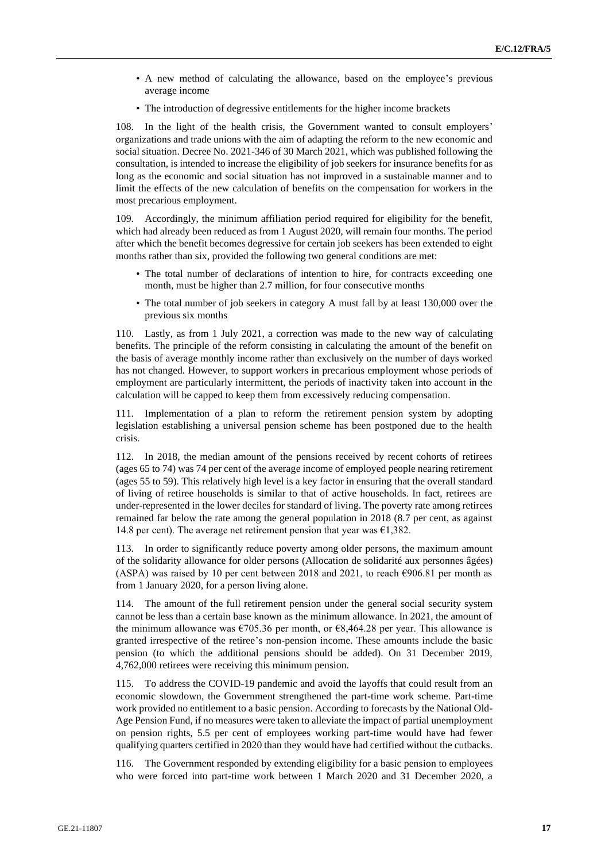- A new method of calculating the allowance, based on the employee's previous average income
- The introduction of degressive entitlements for the higher income brackets

108. In the light of the health crisis, the Government wanted to consult employers' organizations and trade unions with the aim of adapting the reform to the new economic and social situation. Decree No. 2021-346 of 30 March 2021, which was published following the consultation, is intended to increase the eligibility of job seekers for insurance benefits for as long as the economic and social situation has not improved in a sustainable manner and to limit the effects of the new calculation of benefits on the compensation for workers in the most precarious employment.

109. Accordingly, the minimum affiliation period required for eligibility for the benefit, which had already been reduced as from 1 August 2020, will remain four months. The period after which the benefit becomes degressive for certain job seekers has been extended to eight months rather than six, provided the following two general conditions are met:

- The total number of declarations of intention to hire, for contracts exceeding one month, must be higher than 2.7 million, for four consecutive months
- The total number of job seekers in category A must fall by at least 130,000 over the previous six months

110. Lastly, as from 1 July 2021, a correction was made to the new way of calculating benefits. The principle of the reform consisting in calculating the amount of the benefit on the basis of average monthly income rather than exclusively on the number of days worked has not changed. However, to support workers in precarious employment whose periods of employment are particularly intermittent, the periods of inactivity taken into account in the calculation will be capped to keep them from excessively reducing compensation.

111. Implementation of a plan to reform the retirement pension system by adopting legislation establishing a universal pension scheme has been postponed due to the health crisis.

112. In 2018, the median amount of the pensions received by recent cohorts of retirees (ages 65 to 74) was 74 per cent of the average income of employed people nearing retirement (ages 55 to 59). This relatively high level is a key factor in ensuring that the overall standard of living of retiree households is similar to that of active households. In fact, retirees are under-represented in the lower deciles for standard of living. The poverty rate among retirees remained far below the rate among the general population in 2018 (8.7 per cent, as against 14.8 per cent). The average net retirement pension that year was  $\epsilon$ 1,382.

113. In order to significantly reduce poverty among older persons, the maximum amount of the solidarity allowance for older persons (Allocation de solidarité aux personnes âgées) (ASPA) was raised by 10 per cent between 2018 and 2021, to reach  $\epsilon$ 906.81 per month as from 1 January 2020, for a person living alone.

114. The amount of the full retirement pension under the general social security system cannot be less than a certain base known as the minimum allowance. In 2021, the amount of the minimum allowance was €705.36 per month, or €8,464.28 per year. This allowance is granted irrespective of the retiree's non-pension income. These amounts include the basic pension (to which the additional pensions should be added). On 31 December 2019, 4,762,000 retirees were receiving this minimum pension.

115. To address the COVID-19 pandemic and avoid the layoffs that could result from an economic slowdown, the Government strengthened the part-time work scheme. Part-time work provided no entitlement to a basic pension. According to forecasts by the National Old-Age Pension Fund, if no measures were taken to alleviate the impact of partial unemployment on pension rights, 5.5 per cent of employees working part-time would have had fewer qualifying quarters certified in 2020 than they would have had certified without the cutbacks.

116. The Government responded by extending eligibility for a basic pension to employees who were forced into part-time work between 1 March 2020 and 31 December 2020, a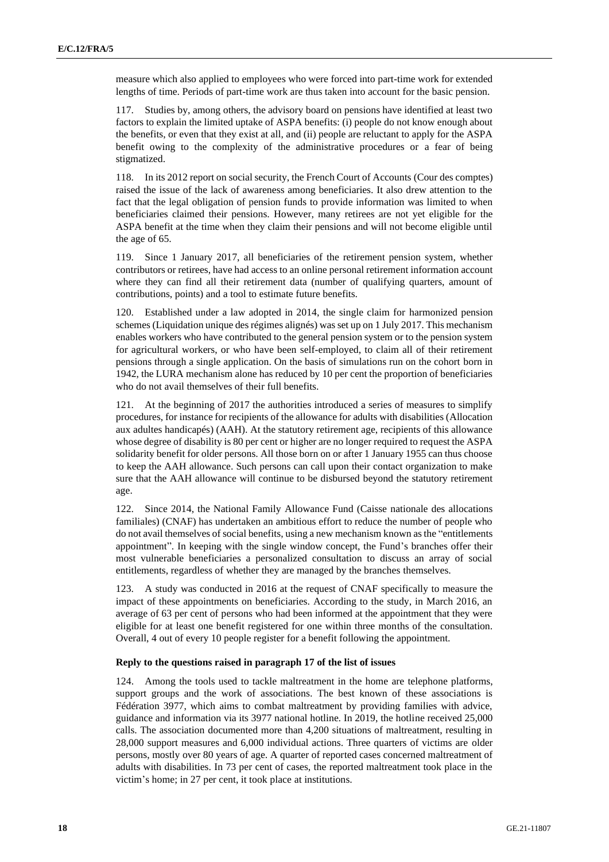measure which also applied to employees who were forced into part-time work for extended lengths of time. Periods of part-time work are thus taken into account for the basic pension.

117. Studies by, among others, the advisory board on pensions have identified at least two factors to explain the limited uptake of ASPA benefits: (i) people do not know enough about the benefits, or even that they exist at all, and (ii) people are reluctant to apply for the ASPA benefit owing to the complexity of the administrative procedures or a fear of being stigmatized.

118. In its 2012 report on social security, the French Court of Accounts (Cour des comptes) raised the issue of the lack of awareness among beneficiaries. It also drew attention to the fact that the legal obligation of pension funds to provide information was limited to when beneficiaries claimed their pensions. However, many retirees are not yet eligible for the ASPA benefit at the time when they claim their pensions and will not become eligible until the age of 65.

119. Since 1 January 2017, all beneficiaries of the retirement pension system, whether contributors or retirees, have had access to an online personal retirement information account where they can find all their retirement data (number of qualifying quarters, amount of contributions, points) and a tool to estimate future benefits.

120. Established under a law adopted in 2014, the single claim for harmonized pension schemes (Liquidation unique des régimes alignés) was set up on 1 July 2017. This mechanism enables workers who have contributed to the general pension system or to the pension system for agricultural workers, or who have been self-employed, to claim all of their retirement pensions through a single application. On the basis of simulations run on the cohort born in 1942, the LURA mechanism alone has reduced by 10 per cent the proportion of beneficiaries who do not avail themselves of their full benefits.

At the beginning of 2017 the authorities introduced a series of measures to simplify procedures, for instance for recipients of the allowance for adults with disabilities (Allocation aux adultes handicapés) (AAH). At the statutory retirement age, recipients of this allowance whose degree of disability is 80 per cent or higher are no longer required to request the ASPA solidarity benefit for older persons. All those born on or after 1 January 1955 can thus choose to keep the AAH allowance. Such persons can call upon their contact organization to make sure that the AAH allowance will continue to be disbursed beyond the statutory retirement age.

122. Since 2014, the National Family Allowance Fund (Caisse nationale des allocations familiales) (CNAF) has undertaken an ambitious effort to reduce the number of people who do not avail themselves of social benefits, using a new mechanism known as the "entitlements appointment". In keeping with the single window concept, the Fund's branches offer their most vulnerable beneficiaries a personalized consultation to discuss an array of social entitlements, regardless of whether they are managed by the branches themselves.

123. A study was conducted in 2016 at the request of CNAF specifically to measure the impact of these appointments on beneficiaries. According to the study, in March 2016, an average of 63 per cent of persons who had been informed at the appointment that they were eligible for at least one benefit registered for one within three months of the consultation. Overall, 4 out of every 10 people register for a benefit following the appointment.

#### **Reply to the questions raised in paragraph 17 of the list of issues**

124. Among the tools used to tackle maltreatment in the home are telephone platforms, support groups and the work of associations. The best known of these associations is Fédération 3977, which aims to combat maltreatment by providing families with advice, guidance and information via its 3977 national hotline. In 2019, the hotline received 25,000 calls. The association documented more than 4,200 situations of maltreatment, resulting in 28,000 support measures and 6,000 individual actions. Three quarters of victims are older persons, mostly over 80 years of age. A quarter of reported cases concerned maltreatment of adults with disabilities. In 73 per cent of cases, the reported maltreatment took place in the victim's home; in 27 per cent, it took place at institutions.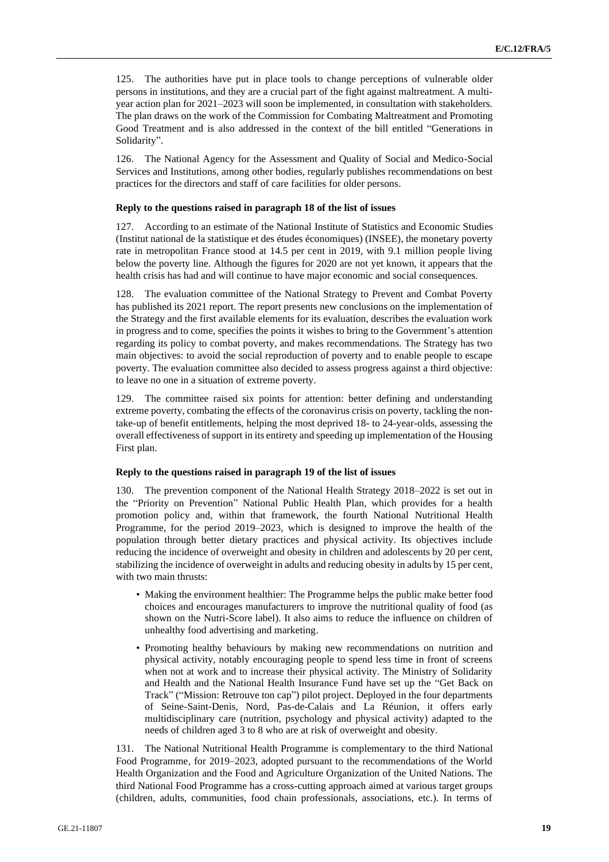125. The authorities have put in place tools to change perceptions of vulnerable older persons in institutions, and they are a crucial part of the fight against maltreatment. A multiyear action plan for 2021–2023 will soon be implemented, in consultation with stakeholders. The plan draws on the work of the Commission for Combating Maltreatment and Promoting Good Treatment and is also addressed in the context of the bill entitled "Generations in Solidarity".

126. The National Agency for the Assessment and Quality of Social and Medico-Social Services and Institutions, among other bodies, regularly publishes recommendations on best practices for the directors and staff of care facilities for older persons.

#### **Reply to the questions raised in paragraph 18 of the list of issues**

127. According to an estimate of the National Institute of Statistics and Economic Studies (Institut national de la statistique et des études économiques) (INSEE), the monetary poverty rate in metropolitan France stood at 14.5 per cent in 2019, with 9.1 million people living below the poverty line. Although the figures for 2020 are not yet known, it appears that the health crisis has had and will continue to have major economic and social consequences.

128. The evaluation committee of the National Strategy to Prevent and Combat Poverty has published its 2021 report. The report presents new conclusions on the implementation of the Strategy and the first available elements for its evaluation, describes the evaluation work in progress and to come, specifies the points it wishes to bring to the Government's attention regarding its policy to combat poverty, and makes recommendations. The Strategy has two main objectives: to avoid the social reproduction of poverty and to enable people to escape poverty. The evaluation committee also decided to assess progress against a third objective: to leave no one in a situation of extreme poverty.

129. The committee raised six points for attention: better defining and understanding extreme poverty, combating the effects of the coronavirus crisis on poverty, tackling the nontake-up of benefit entitlements, helping the most deprived 18- to 24-year-olds, assessing the overall effectiveness of support in its entirety and speeding up implementation of the Housing First plan.

#### **Reply to the questions raised in paragraph 19 of the list of issues**

130. The prevention component of the National Health Strategy 2018–2022 is set out in the "Priority on Prevention" National Public Health Plan, which provides for a health promotion policy and, within that framework, the fourth National Nutritional Health Programme, for the period 2019–2023, which is designed to improve the health of the population through better dietary practices and physical activity. Its objectives include reducing the incidence of overweight and obesity in children and adolescents by 20 per cent, stabilizing the incidence of overweight in adults and reducing obesity in adults by 15 per cent, with two main thrusts:

- Making the environment healthier: The Programme helps the public make better food choices and encourages manufacturers to improve the nutritional quality of food (as shown on the Nutri-Score label). It also aims to reduce the influence on children of unhealthy food advertising and marketing.
- Promoting healthy behaviours by making new recommendations on nutrition and physical activity, notably encouraging people to spend less time in front of screens when not at work and to increase their physical activity. The Ministry of Solidarity and Health and the National Health Insurance Fund have set up the "Get Back on Track" ("Mission: Retrouve ton cap") pilot project. Deployed in the four departments of Seine-Saint-Denis, Nord, Pas-de-Calais and La Réunion, it offers early multidisciplinary care (nutrition, psychology and physical activity) adapted to the needs of children aged 3 to 8 who are at risk of overweight and obesity.

131. The National Nutritional Health Programme is complementary to the third National Food Programme, for 2019–2023, adopted pursuant to the recommendations of the World Health Organization and the Food and Agriculture Organization of the United Nations. The third National Food Programme has a cross-cutting approach aimed at various target groups (children, adults, communities, food chain professionals, associations, etc.). In terms of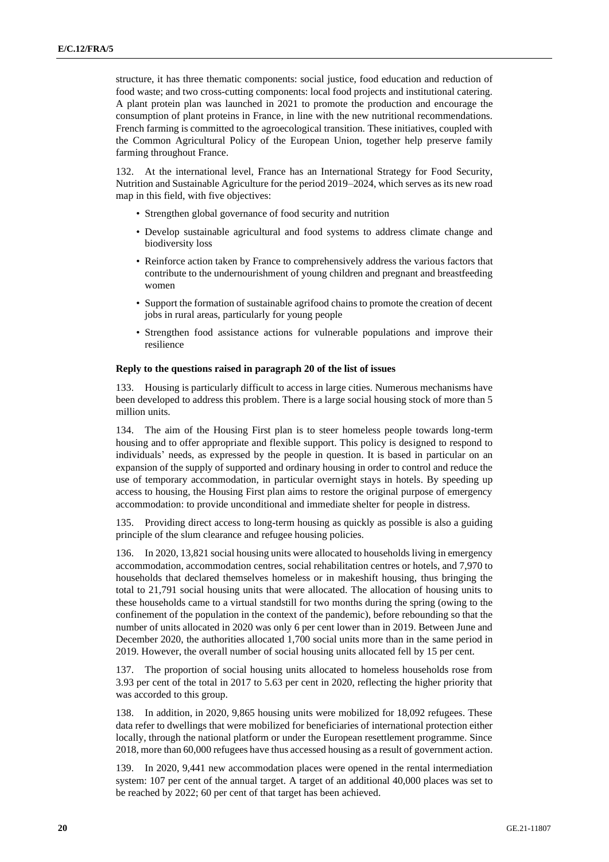structure, it has three thematic components: social justice, food education and reduction of food waste; and two cross-cutting components: local food projects and institutional catering. A plant protein plan was launched in 2021 to promote the production and encourage the consumption of plant proteins in France, in line with the new nutritional recommendations. French farming is committed to the agroecological transition. These initiatives, coupled with the Common Agricultural Policy of the European Union, together help preserve family farming throughout France.

At the international level, France has an International Strategy for Food Security, Nutrition and Sustainable Agriculture for the period 2019–2024, which serves as its new road map in this field, with five objectives:

- Strengthen global governance of food security and nutrition
- Develop sustainable agricultural and food systems to address climate change and biodiversity loss
- Reinforce action taken by France to comprehensively address the various factors that contribute to the undernourishment of young children and pregnant and breastfeeding women
- Support the formation of sustainable agrifood chains to promote the creation of decent jobs in rural areas, particularly for young people
- Strengthen food assistance actions for vulnerable populations and improve their resilience

#### **Reply to the questions raised in paragraph 20 of the list of issues**

133. Housing is particularly difficult to access in large cities. Numerous mechanisms have been developed to address this problem. There is a large social housing stock of more than 5 million units.

134. The aim of the Housing First plan is to steer homeless people towards long-term housing and to offer appropriate and flexible support. This policy is designed to respond to individuals' needs, as expressed by the people in question. It is based in particular on an expansion of the supply of supported and ordinary housing in order to control and reduce the use of temporary accommodation, in particular overnight stays in hotels. By speeding up access to housing, the Housing First plan aims to restore the original purpose of emergency accommodation: to provide unconditional and immediate shelter for people in distress.

135. Providing direct access to long-term housing as quickly as possible is also a guiding principle of the slum clearance and refugee housing policies.

136. In 2020, 13,821 social housing units were allocated to households living in emergency accommodation, accommodation centres, social rehabilitation centres or hotels, and 7,970 to households that declared themselves homeless or in makeshift housing, thus bringing the total to 21,791 social housing units that were allocated. The allocation of housing units to these households came to a virtual standstill for two months during the spring (owing to the confinement of the population in the context of the pandemic), before rebounding so that the number of units allocated in 2020 was only 6 per cent lower than in 2019. Between June and December 2020, the authorities allocated 1,700 social units more than in the same period in 2019. However, the overall number of social housing units allocated fell by 15 per cent.

137. The proportion of social housing units allocated to homeless households rose from 3.93 per cent of the total in 2017 to 5.63 per cent in 2020, reflecting the higher priority that was accorded to this group.

138. In addition, in 2020, 9,865 housing units were mobilized for 18,092 refugees. These data refer to dwellings that were mobilized for beneficiaries of international protection either locally, through the national platform or under the European resettlement programme. Since 2018, more than 60,000 refugees have thus accessed housing as a result of government action.

139. In 2020, 9,441 new accommodation places were opened in the rental intermediation system: 107 per cent of the annual target. A target of an additional 40,000 places was set to be reached by 2022; 60 per cent of that target has been achieved.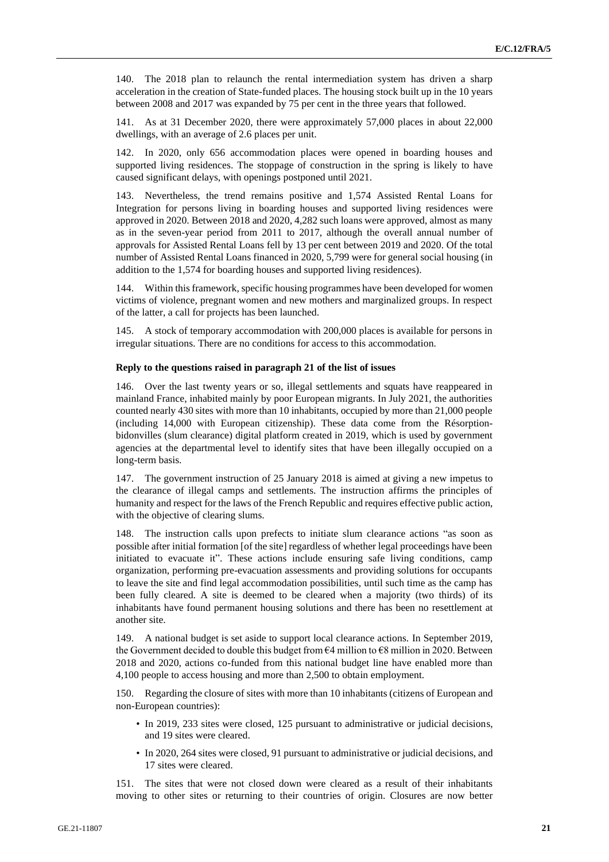140. The 2018 plan to relaunch the rental intermediation system has driven a sharp acceleration in the creation of State-funded places. The housing stock built up in the 10 years between 2008 and 2017 was expanded by 75 per cent in the three years that followed.

141. As at 31 December 2020, there were approximately 57,000 places in about 22,000 dwellings, with an average of 2.6 places per unit.

142. In 2020, only 656 accommodation places were opened in boarding houses and supported living residences. The stoppage of construction in the spring is likely to have caused significant delays, with openings postponed until 2021.

143. Nevertheless, the trend remains positive and 1,574 Assisted Rental Loans for Integration for persons living in boarding houses and supported living residences were approved in 2020. Between 2018 and 2020, 4,282 such loans were approved, almost as many as in the seven-year period from 2011 to 2017, although the overall annual number of approvals for Assisted Rental Loans fell by 13 per cent between 2019 and 2020. Of the total number of Assisted Rental Loans financed in 2020, 5,799 were for general social housing (in addition to the 1,574 for boarding houses and supported living residences).

144. Within this framework, specific housing programmes have been developed for women victims of violence, pregnant women and new mothers and marginalized groups. In respect of the latter, a call for projects has been launched.

145. A stock of temporary accommodation with 200,000 places is available for persons in irregular situations. There are no conditions for access to this accommodation.

#### **Reply to the questions raised in paragraph 21 of the list of issues**

146. Over the last twenty years or so, illegal settlements and squats have reappeared in mainland France, inhabited mainly by poor European migrants. In July 2021, the authorities counted nearly 430 sites with more than 10 inhabitants, occupied by more than 21,000 people (including 14,000 with European citizenship). These data come from the Résorptionbidonvilles (slum clearance) digital platform created in 2019, which is used by government agencies at the departmental level to identify sites that have been illegally occupied on a long-term basis.

147. The government instruction of 25 January 2018 is aimed at giving a new impetus to the clearance of illegal camps and settlements. The instruction affirms the principles of humanity and respect for the laws of the French Republic and requires effective public action, with the objective of clearing slums.

148. The instruction calls upon prefects to initiate slum clearance actions "as soon as possible after initial formation [of the site] regardless of whether legal proceedings have been initiated to evacuate it". These actions include ensuring safe living conditions, camp organization, performing pre-evacuation assessments and providing solutions for occupants to leave the site and find legal accommodation possibilities, until such time as the camp has been fully cleared. A site is deemed to be cleared when a majority (two thirds) of its inhabitants have found permanent housing solutions and there has been no resettlement at another site.

149. A national budget is set aside to support local clearance actions. In September 2019, the Government decided to double this budget from  $64$  million to  $68$  million in 2020. Between 2018 and 2020, actions co-funded from this national budget line have enabled more than 4,100 people to access housing and more than 2,500 to obtain employment.

150. Regarding the closure of sites with more than 10 inhabitants (citizens of European and non-European countries):

- In 2019, 233 sites were closed, 125 pursuant to administrative or judicial decisions, and 19 sites were cleared.
- In 2020, 264 sites were closed, 91 pursuant to administrative or judicial decisions, and 17 sites were cleared.

151. The sites that were not closed down were cleared as a result of their inhabitants moving to other sites or returning to their countries of origin. Closures are now better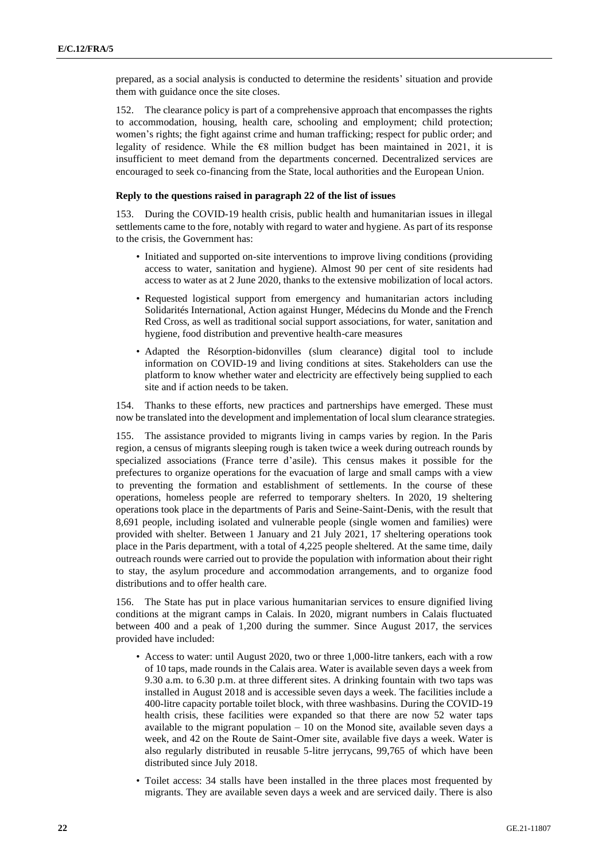prepared, as a social analysis is conducted to determine the residents' situation and provide them with guidance once the site closes.

152. The clearance policy is part of a comprehensive approach that encompasses the rights to accommodation, housing, health care, schooling and employment; child protection; women's rights; the fight against crime and human trafficking; respect for public order; and legality of residence. While the  $\epsilon$ 8 million budget has been maintained in 2021, it is insufficient to meet demand from the departments concerned. Decentralized services are encouraged to seek co-financing from the State, local authorities and the European Union.

## **Reply to the questions raised in paragraph 22 of the list of issues**

153. During the COVID-19 health crisis, public health and humanitarian issues in illegal settlements came to the fore, notably with regard to water and hygiene. As part of its response to the crisis, the Government has:

- Initiated and supported on-site interventions to improve living conditions (providing access to water, sanitation and hygiene). Almost 90 per cent of site residents had access to water as at 2 June 2020, thanks to the extensive mobilization of local actors.
- Requested logistical support from emergency and humanitarian actors including Solidarités International, Action against Hunger, Médecins du Monde and the French Red Cross, as well as traditional social support associations, for water, sanitation and hygiene, food distribution and preventive health-care measures
- Adapted the Résorption-bidonvilles (slum clearance) digital tool to include information on COVID-19 and living conditions at sites. Stakeholders can use the platform to know whether water and electricity are effectively being supplied to each site and if action needs to be taken.

154. Thanks to these efforts, new practices and partnerships have emerged. These must now be translated into the development and implementation of local slum clearance strategies.

155. The assistance provided to migrants living in camps varies by region. In the Paris region, a census of migrants sleeping rough is taken twice a week during outreach rounds by specialized associations (France terre d'asile). This census makes it possible for the prefectures to organize operations for the evacuation of large and small camps with a view to preventing the formation and establishment of settlements. In the course of these operations, homeless people are referred to temporary shelters. In 2020, 19 sheltering operations took place in the departments of Paris and Seine-Saint-Denis, with the result that 8,691 people, including isolated and vulnerable people (single women and families) were provided with shelter. Between 1 January and 21 July 2021, 17 sheltering operations took place in the Paris department, with a total of 4,225 people sheltered. At the same time, daily outreach rounds were carried out to provide the population with information about their right to stay, the asylum procedure and accommodation arrangements, and to organize food distributions and to offer health care.

156. The State has put in place various humanitarian services to ensure dignified living conditions at the migrant camps in Calais. In 2020, migrant numbers in Calais fluctuated between 400 and a peak of 1,200 during the summer. Since August 2017, the services provided have included:

- Access to water: until August 2020, two or three 1,000-litre tankers, each with a row of 10 taps, made rounds in the Calais area. Water is available seven days a week from 9.30 a.m. to 6.30 p.m. at three different sites. A drinking fountain with two taps was installed in August 2018 and is accessible seven days a week. The facilities include a 400-litre capacity portable toilet block, with three washbasins. During the COVID-19 health crisis, these facilities were expanded so that there are now 52 water taps available to the migrant population  $-10$  on the Monod site, available seven days a week, and 42 on the Route de Saint-Omer site, available five days a week. Water is also regularly distributed in reusable 5-litre jerrycans, 99,765 of which have been distributed since July 2018.
- Toilet access: 34 stalls have been installed in the three places most frequented by migrants. They are available seven days a week and are serviced daily. There is also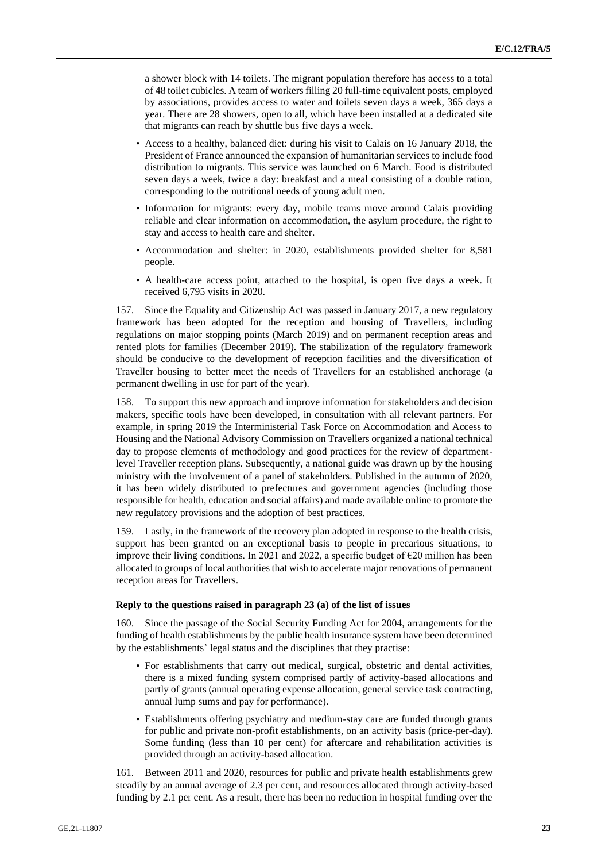a shower block with 14 toilets. The migrant population therefore has access to a total of 48 toilet cubicles. A team of workers filling 20 full-time equivalent posts, employed by associations, provides access to water and toilets seven days a week, 365 days a year. There are 28 showers, open to all, which have been installed at a dedicated site that migrants can reach by shuttle bus five days a week.

- Access to a healthy, balanced diet: during his visit to Calais on 16 January 2018, the President of France announced the expansion of humanitarian services to include food distribution to migrants. This service was launched on 6 March. Food is distributed seven days a week, twice a day: breakfast and a meal consisting of a double ration, corresponding to the nutritional needs of young adult men.
- Information for migrants: every day, mobile teams move around Calais providing reliable and clear information on accommodation, the asylum procedure, the right to stay and access to health care and shelter.
- Accommodation and shelter: in 2020, establishments provided shelter for 8,581 people.
- A health-care access point, attached to the hospital, is open five days a week. It received 6,795 visits in 2020.

157. Since the Equality and Citizenship Act was passed in January 2017, a new regulatory framework has been adopted for the reception and housing of Travellers, including regulations on major stopping points (March 2019) and on permanent reception areas and rented plots for families (December 2019). The stabilization of the regulatory framework should be conducive to the development of reception facilities and the diversification of Traveller housing to better meet the needs of Travellers for an established anchorage (a permanent dwelling in use for part of the year).

158. To support this new approach and improve information for stakeholders and decision makers, specific tools have been developed, in consultation with all relevant partners. For example, in spring 2019 the Interministerial Task Force on Accommodation and Access to Housing and the National Advisory Commission on Travellers organized a national technical day to propose elements of methodology and good practices for the review of departmentlevel Traveller reception plans. Subsequently, a national guide was drawn up by the housing ministry with the involvement of a panel of stakeholders. Published in the autumn of 2020, it has been widely distributed to prefectures and government agencies (including those responsible for health, education and social affairs) and made available online to promote the new regulatory provisions and the adoption of best practices.

159. Lastly, in the framework of the recovery plan adopted in response to the health crisis, support has been granted on an exceptional basis to people in precarious situations, to improve their living conditions. In 2021 and 2022, a specific budget of  $E20$  million has been allocated to groups of local authorities that wish to accelerate major renovations of permanent reception areas for Travellers.

#### **Reply to the questions raised in paragraph 23 (a) of the list of issues**

160. Since the passage of the Social Security Funding Act for 2004, arrangements for the funding of health establishments by the public health insurance system have been determined by the establishments' legal status and the disciplines that they practise:

- For establishments that carry out medical, surgical, obstetric and dental activities, there is a mixed funding system comprised partly of activity-based allocations and partly of grants (annual operating expense allocation, general service task contracting, annual lump sums and pay for performance).
- Establishments offering psychiatry and medium-stay care are funded through grants for public and private non-profit establishments, on an activity basis (price-per-day). Some funding (less than 10 per cent) for aftercare and rehabilitation activities is provided through an activity-based allocation.

161. Between 2011 and 2020, resources for public and private health establishments grew steadily by an annual average of 2.3 per cent, and resources allocated through activity-based funding by 2.1 per cent. As a result, there has been no reduction in hospital funding over the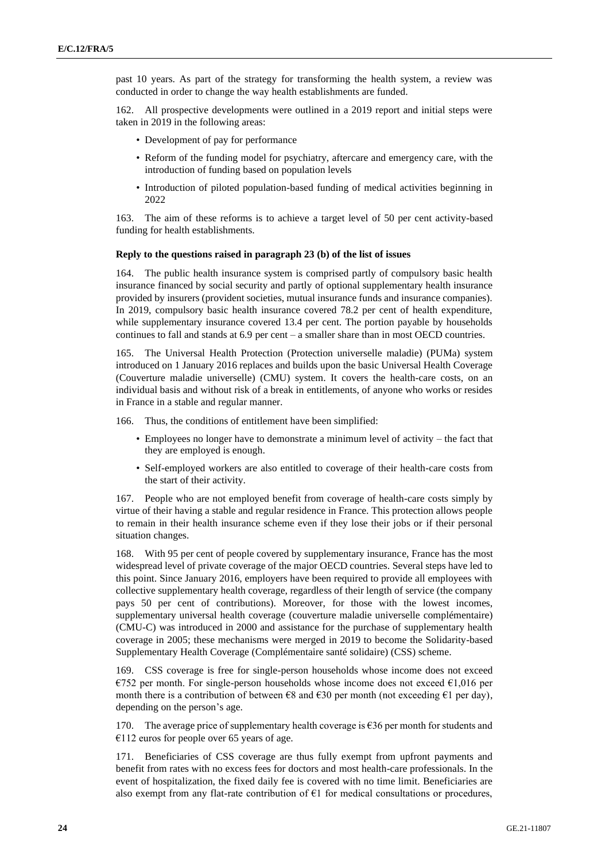past 10 years. As part of the strategy for transforming the health system, a review was conducted in order to change the way health establishments are funded.

162. All prospective developments were outlined in a 2019 report and initial steps were taken in 2019 in the following areas:

- Development of pay for performance
- Reform of the funding model for psychiatry, aftercare and emergency care, with the introduction of funding based on population levels
- Introduction of piloted population-based funding of medical activities beginning in 2022

163. The aim of these reforms is to achieve a target level of 50 per cent activity-based funding for health establishments.

#### **Reply to the questions raised in paragraph 23 (b) of the list of issues**

164. The public health insurance system is comprised partly of compulsory basic health insurance financed by social security and partly of optional supplementary health insurance provided by insurers (provident societies, mutual insurance funds and insurance companies). In 2019, compulsory basic health insurance covered 78.2 per cent of health expenditure, while supplementary insurance covered 13.4 per cent. The portion payable by households continues to fall and stands at 6.9 per cent – a smaller share than in most OECD countries.

165. The Universal Health Protection (Protection universelle maladie) (PUMa) system introduced on 1 January 2016 replaces and builds upon the basic Universal Health Coverage (Couverture maladie universelle) (CMU) system. It covers the health-care costs, on an individual basis and without risk of a break in entitlements, of anyone who works or resides in France in a stable and regular manner.

166. Thus, the conditions of entitlement have been simplified:

- Employees no longer have to demonstrate a minimum level of activity the fact that they are employed is enough.
- Self-employed workers are also entitled to coverage of their health-care costs from the start of their activity.

167. People who are not employed benefit from coverage of health-care costs simply by virtue of their having a stable and regular residence in France. This protection allows people to remain in their health insurance scheme even if they lose their jobs or if their personal situation changes.

168. With 95 per cent of people covered by supplementary insurance, France has the most widespread level of private coverage of the major OECD countries. Several steps have led to this point. Since January 2016, employers have been required to provide all employees with collective supplementary health coverage, regardless of their length of service (the company pays 50 per cent of contributions). Moreover, for those with the lowest incomes, supplementary universal health coverage (couverture maladie universelle complémentaire) (CMU-C) was introduced in 2000 and assistance for the purchase of supplementary health coverage in 2005; these mechanisms were merged in 2019 to become the Solidarity-based Supplementary Health Coverage (Complémentaire santé solidaire) (CSS) scheme.

169. CSS coverage is free for single-person households whose income does not exceed  $\epsilon$ 752 per month. For single-person households whose income does not exceed  $\epsilon$ 1,016 per month there is a contribution of between  $\epsilon$ 8 and  $\epsilon$ 30 per month (not exceeding  $\epsilon$ 1 per day), depending on the person's age.

170. The average price of supplementary health coverage is  $\epsilon$ 36 per month for students and  $€112$  euros for people over 65 years of age.

171. Beneficiaries of CSS coverage are thus fully exempt from upfront payments and benefit from rates with no excess fees for doctors and most health-care professionals. In the event of hospitalization, the fixed daily fee is covered with no time limit. Beneficiaries are also exempt from any flat-rate contribution of  $E1$  for medical consultations or procedures,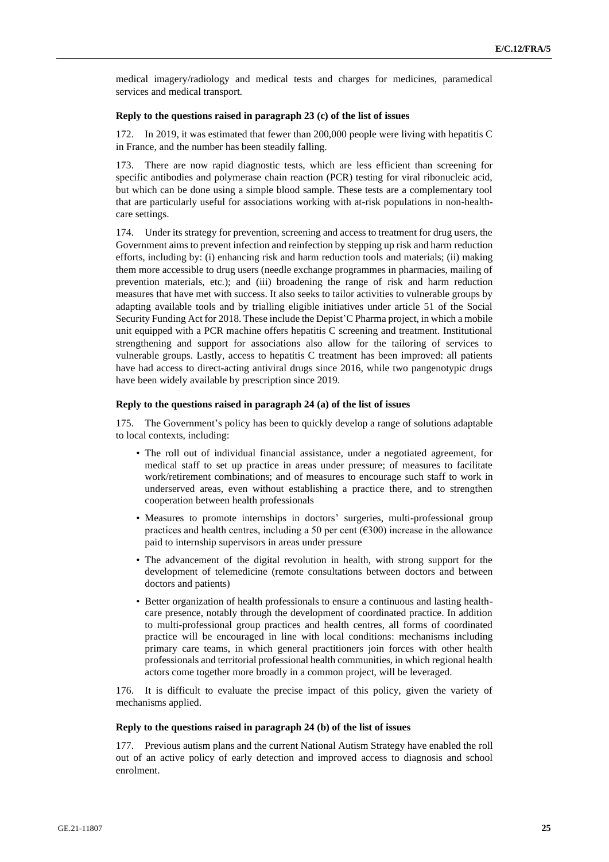medical imagery/radiology and medical tests and charges for medicines, paramedical services and medical transport.

#### **Reply to the questions raised in paragraph 23 (c) of the list of issues**

In 2019, it was estimated that fewer than 200,000 people were living with hepatitis C in France, and the number has been steadily falling.

173. There are now rapid diagnostic tests, which are less efficient than screening for specific antibodies and polymerase chain reaction (PCR) testing for viral ribonucleic acid, but which can be done using a simple blood sample. These tests are a complementary tool that are particularly useful for associations working with at-risk populations in non-healthcare settings.

174. Under its strategy for prevention, screening and access to treatment for drug users, the Government aims to prevent infection and reinfection by stepping up risk and harm reduction efforts, including by: (i) enhancing risk and harm reduction tools and materials; (ii) making them more accessible to drug users (needle exchange programmes in pharmacies, mailing of prevention materials, etc.); and (iii) broadening the range of risk and harm reduction measures that have met with success. It also seeks to tailor activities to vulnerable groups by adapting available tools and by trialling eligible initiatives under article 51 of the Social Security Funding Act for 2018. These include the Depist'C Pharma project, in which a mobile unit equipped with a PCR machine offers hepatitis C screening and treatment. Institutional strengthening and support for associations also allow for the tailoring of services to vulnerable groups. Lastly, access to hepatitis C treatment has been improved: all patients have had access to direct-acting antiviral drugs since 2016, while two pangenotypic drugs have been widely available by prescription since 2019.

#### **Reply to the questions raised in paragraph 24 (a) of the list of issues**

175. The Government's policy has been to quickly develop a range of solutions adaptable to local contexts, including:

- The roll out of individual financial assistance, under a negotiated agreement, for medical staff to set up practice in areas under pressure; of measures to facilitate work/retirement combinations; and of measures to encourage such staff to work in underserved areas, even without establishing a practice there, and to strengthen cooperation between health professionals
- Measures to promote internships in doctors' surgeries, multi-professional group practices and health centres, including a 50 per cent ( $\epsilon$ 300) increase in the allowance paid to internship supervisors in areas under pressure
- The advancement of the digital revolution in health, with strong support for the development of telemedicine (remote consultations between doctors and between doctors and patients)
- Better organization of health professionals to ensure a continuous and lasting healthcare presence, notably through the development of coordinated practice. In addition to multi-professional group practices and health centres, all forms of coordinated practice will be encouraged in line with local conditions: mechanisms including primary care teams, in which general practitioners join forces with other health professionals and territorial professional health communities, in which regional health actors come together more broadly in a common project, will be leveraged.

176. It is difficult to evaluate the precise impact of this policy, given the variety of mechanisms applied.

#### **Reply to the questions raised in paragraph 24 (b) of the list of issues**

177. Previous autism plans and the current National Autism Strategy have enabled the roll out of an active policy of early detection and improved access to diagnosis and school enrolment.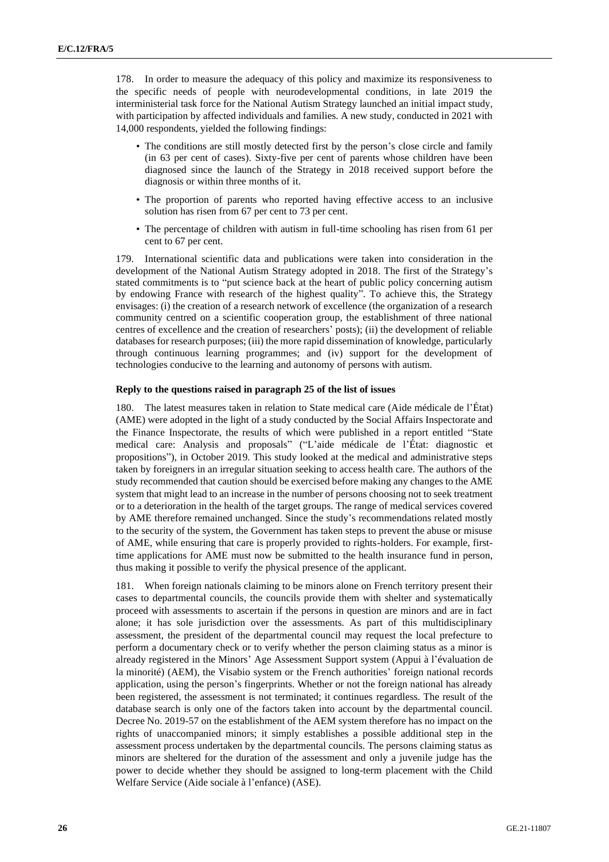178. In order to measure the adequacy of this policy and maximize its responsiveness to the specific needs of people with neurodevelopmental conditions, in late 2019 the interministerial task force for the National Autism Strategy launched an initial impact study, with participation by affected individuals and families. A new study, conducted in 2021 with 14,000 respondents, yielded the following findings:

- The conditions are still mostly detected first by the person's close circle and family (in 63 per cent of cases). Sixty-five per cent of parents whose children have been diagnosed since the launch of the Strategy in 2018 received support before the diagnosis or within three months of it.
- The proportion of parents who reported having effective access to an inclusive solution has risen from 67 per cent to 73 per cent.
- The percentage of children with autism in full-time schooling has risen from 61 per cent to 67 per cent.

179. International scientific data and publications were taken into consideration in the development of the National Autism Strategy adopted in 2018. The first of the Strategy's stated commitments is to "put science back at the heart of public policy concerning autism by endowing France with research of the highest quality". To achieve this, the Strategy envisages: (i) the creation of a research network of excellence (the organization of a research community centred on a scientific cooperation group, the establishment of three national centres of excellence and the creation of researchers' posts); (ii) the development of reliable databases for research purposes; (iii) the more rapid dissemination of knowledge, particularly through continuous learning programmes; and (iv) support for the development of technologies conducive to the learning and autonomy of persons with autism.

## **Reply to the questions raised in paragraph 25 of the list of issues**

180. The latest measures taken in relation to State medical care (Aide médicale de l'État) (AME) were adopted in the light of a study conducted by the Social Affairs Inspectorate and the Finance Inspectorate, the results of which were published in a report entitled "State medical care: Analysis and proposals" ("L'aide médicale de l'État: diagnostic et propositions"), in October 2019. This study looked at the medical and administrative steps taken by foreigners in an irregular situation seeking to access health care. The authors of the study recommended that caution should be exercised before making any changes to the AME system that might lead to an increase in the number of persons choosing not to seek treatment or to a deterioration in the health of the target groups. The range of medical services covered by AME therefore remained unchanged. Since the study's recommendations related mostly to the security of the system, the Government has taken steps to prevent the abuse or misuse of AME, while ensuring that care is properly provided to rights-holders. For example, firsttime applications for AME must now be submitted to the health insurance fund in person, thus making it possible to verify the physical presence of the applicant.

181. When foreign nationals claiming to be minors alone on French territory present their cases to departmental councils, the councils provide them with shelter and systematically proceed with assessments to ascertain if the persons in question are minors and are in fact alone; it has sole jurisdiction over the assessments. As part of this multidisciplinary assessment, the president of the departmental council may request the local prefecture to perform a documentary check or to verify whether the person claiming status as a minor is already registered in the Minors' Age Assessment Support system (Appui à l'évaluation de la minorité) (AEM), the Visabio system or the French authorities' foreign national records application, using the person's fingerprints. Whether or not the foreign national has already been registered, the assessment is not terminated; it continues regardless. The result of the database search is only one of the factors taken into account by the departmental council. Decree No. 2019-57 on the establishment of the AEM system therefore has no impact on the rights of unaccompanied minors; it simply establishes a possible additional step in the assessment process undertaken by the departmental councils. The persons claiming status as minors are sheltered for the duration of the assessment and only a juvenile judge has the power to decide whether they should be assigned to long-term placement with the Child Welfare Service (Aide sociale à l'enfance) (ASE).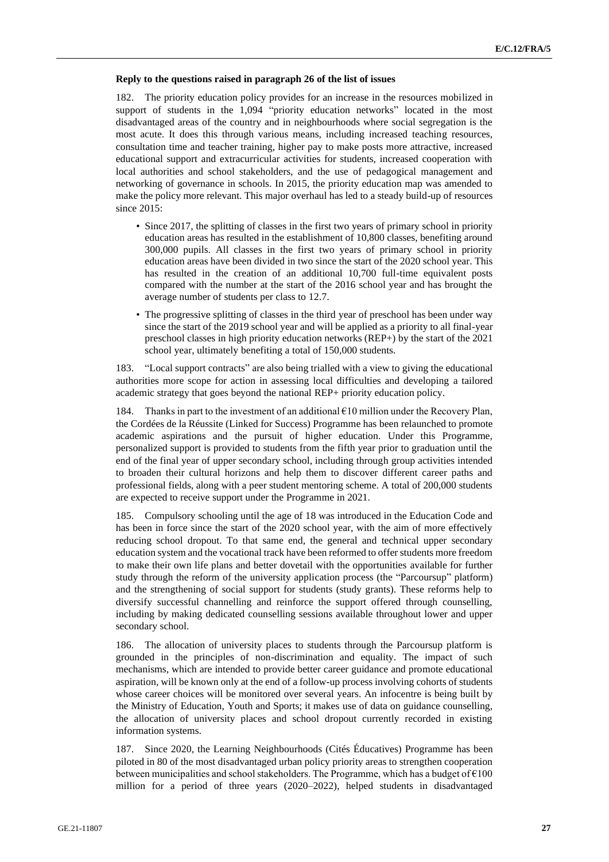#### **Reply to the questions raised in paragraph 26 of the list of issues**

182. The priority education policy provides for an increase in the resources mobilized in support of students in the 1,094 "priority education networks" located in the most disadvantaged areas of the country and in neighbourhoods where social segregation is the most acute. It does this through various means, including increased teaching resources, consultation time and teacher training, higher pay to make posts more attractive, increased educational support and extracurricular activities for students, increased cooperation with local authorities and school stakeholders, and the use of pedagogical management and networking of governance in schools. In 2015, the priority education map was amended to make the policy more relevant. This major overhaul has led to a steady build-up of resources since 2015:

- Since 2017, the splitting of classes in the first two years of primary school in priority education areas has resulted in the establishment of 10,800 classes, benefiting around 300,000 pupils. All classes in the first two years of primary school in priority education areas have been divided in two since the start of the 2020 school year. This has resulted in the creation of an additional 10,700 full-time equivalent posts compared with the number at the start of the 2016 school year and has brought the average number of students per class to 12.7.
- The progressive splitting of classes in the third year of preschool has been under way since the start of the 2019 school year and will be applied as a priority to all final-year preschool classes in high priority education networks (REP+) by the start of the 2021 school year, ultimately benefiting a total of 150,000 students.

183. "Local support contracts" are also being trialled with a view to giving the educational authorities more scope for action in assessing local difficulties and developing a tailored academic strategy that goes beyond the national REP+ priority education policy.

184. Thanks in part to the investment of an additional  $\epsilon$ 10 million under the Recovery Plan, the Cordées de la Réussite (Linked for Success) Programme has been relaunched to promote academic aspirations and the pursuit of higher education. Under this Programme, personalized support is provided to students from the fifth year prior to graduation until the end of the final year of upper secondary school, including through group activities intended to broaden their cultural horizons and help them to discover different career paths and professional fields, along with a peer student mentoring scheme. A total of 200,000 students are expected to receive support under the Programme in 2021.

185. Compulsory schooling until the age of 18 was introduced in the Education Code and has been in force since the start of the 2020 school year, with the aim of more effectively reducing school dropout. To that same end, the general and technical upper secondary education system and the vocational track have been reformed to offer students more freedom to make their own life plans and better dovetail with the opportunities available for further study through the reform of the university application process (the "Parcoursup" platform) and the strengthening of social support for students (study grants). These reforms help to diversify successful channelling and reinforce the support offered through counselling, including by making dedicated counselling sessions available throughout lower and upper secondary school.

186. The allocation of university places to students through the Parcoursup platform is grounded in the principles of non-discrimination and equality. The impact of such mechanisms, which are intended to provide better career guidance and promote educational aspiration, will be known only at the end of a follow-up process involving cohorts of students whose career choices will be monitored over several years. An infocentre is being built by the Ministry of Education, Youth and Sports; it makes use of data on guidance counselling, the allocation of university places and school dropout currently recorded in existing information systems.

187. Since 2020, the Learning Neighbourhoods (Cités Éducatives) Programme has been piloted in 80 of the most disadvantaged urban policy priority areas to strengthen cooperation between municipalities and school stakeholders. The Programme, which has a budget of  $\epsilon$ 100 million for a period of three years (2020–2022), helped students in disadvantaged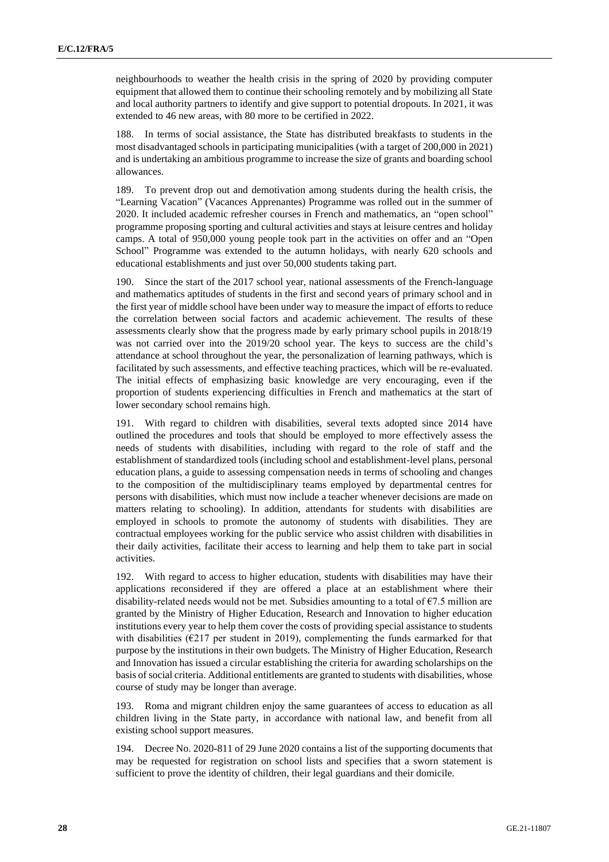neighbourhoods to weather the health crisis in the spring of 2020 by providing computer equipment that allowed them to continue their schooling remotely and by mobilizing all State and local authority partners to identify and give support to potential dropouts. In 2021, it was extended to 46 new areas, with 80 more to be certified in 2022.

In terms of social assistance, the State has distributed breakfasts to students in the most disadvantaged schools in participating municipalities (with a target of 200,000 in 2021) and is undertaking an ambitious programme to increase the size of grants and boarding school allowances.

189. To prevent drop out and demotivation among students during the health crisis, the "Learning Vacation" (Vacances Apprenantes) Programme was rolled out in the summer of 2020. It included academic refresher courses in French and mathematics, an "open school" programme proposing sporting and cultural activities and stays at leisure centres and holiday camps. A total of 950,000 young people took part in the activities on offer and an "Open School" Programme was extended to the autumn holidays, with nearly 620 schools and educational establishments and just over 50,000 students taking part.

190. Since the start of the 2017 school year, national assessments of the French-language and mathematics aptitudes of students in the first and second years of primary school and in the first year of middle school have been under way to measure the impact of efforts to reduce the correlation between social factors and academic achievement. The results of these assessments clearly show that the progress made by early primary school pupils in 2018/19 was not carried over into the 2019/20 school year. The keys to success are the child's attendance at school throughout the year, the personalization of learning pathways, which is facilitated by such assessments, and effective teaching practices, which will be re-evaluated. The initial effects of emphasizing basic knowledge are very encouraging, even if the proportion of students experiencing difficulties in French and mathematics at the start of lower secondary school remains high.

191. With regard to children with disabilities, several texts adopted since 2014 have outlined the procedures and tools that should be employed to more effectively assess the needs of students with disabilities, including with regard to the role of staff and the establishment of standardized tools (including school and establishment-level plans, personal education plans, a guide to assessing compensation needs in terms of schooling and changes to the composition of the multidisciplinary teams employed by departmental centres for persons with disabilities, which must now include a teacher whenever decisions are made on matters relating to schooling). In addition, attendants for students with disabilities are employed in schools to promote the autonomy of students with disabilities. They are contractual employees working for the public service who assist children with disabilities in their daily activities, facilitate their access to learning and help them to take part in social activities.

192. With regard to access to higher education, students with disabilities may have their applications reconsidered if they are offered a place at an establishment where their disability-related needs would not be met. Subsidies amounting to a total of  $\epsilon$ 7.5 million are granted by the Ministry of Higher Education, Research and Innovation to higher education institutions every year to help them cover the costs of providing special assistance to students with disabilities ( $E$ 217 per student in 2019), complementing the funds earmarked for that purpose by the institutions in their own budgets. The Ministry of Higher Education, Research and Innovation has issued a circular establishing the criteria for awarding scholarships on the basis of social criteria. Additional entitlements are granted to students with disabilities, whose course of study may be longer than average.

193. Roma and migrant children enjoy the same guarantees of access to education as all children living in the State party, in accordance with national law, and benefit from all existing school support measures.

194. Decree No. 2020-811 of 29 June 2020 contains a list of the supporting documents that may be requested for registration on school lists and specifies that a sworn statement is sufficient to prove the identity of children, their legal guardians and their domicile.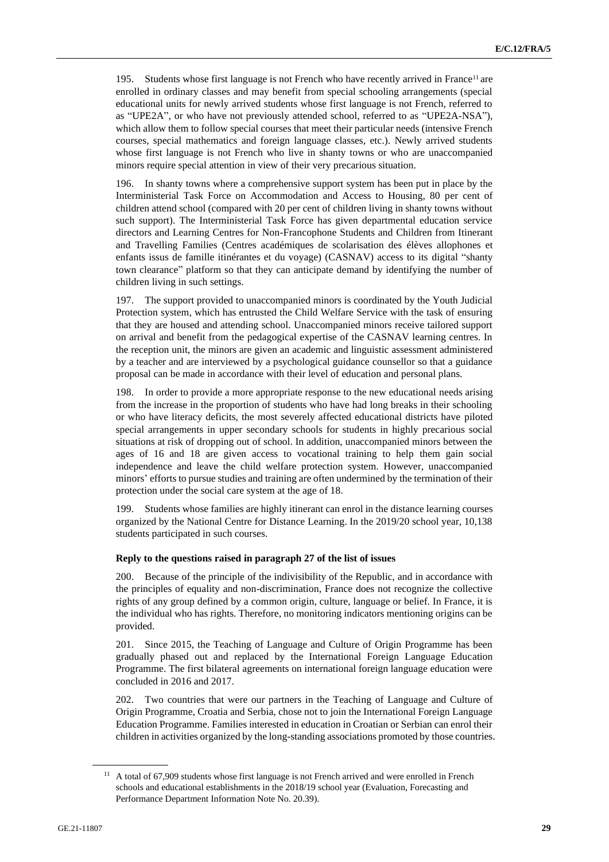195. Students whose first language is not French who have recently arrived in France<sup>11</sup> are enrolled in ordinary classes and may benefit from special schooling arrangements (special educational units for newly arrived students whose first language is not French, referred to as "UPE2A", or who have not previously attended school, referred to as "UPE2A-NSA"), which allow them to follow special courses that meet their particular needs (intensive French courses, special mathematics and foreign language classes, etc.). Newly arrived students whose first language is not French who live in shanty towns or who are unaccompanied minors require special attention in view of their very precarious situation.

196. In shanty towns where a comprehensive support system has been put in place by the Interministerial Task Force on Accommodation and Access to Housing, 80 per cent of children attend school (compared with 20 per cent of children living in shanty towns without such support). The Interministerial Task Force has given departmental education service directors and Learning Centres for Non-Francophone Students and Children from Itinerant and Travelling Families (Centres académiques de scolarisation des élèves allophones et enfants issus de famille itinérantes et du voyage) (CASNAV) access to its digital "shanty town clearance" platform so that they can anticipate demand by identifying the number of children living in such settings.

197. The support provided to unaccompanied minors is coordinated by the Youth Judicial Protection system, which has entrusted the Child Welfare Service with the task of ensuring that they are housed and attending school. Unaccompanied minors receive tailored support on arrival and benefit from the pedagogical expertise of the CASNAV learning centres. In the reception unit, the minors are given an academic and linguistic assessment administered by a teacher and are interviewed by a psychological guidance counsellor so that a guidance proposal can be made in accordance with their level of education and personal plans.

198. In order to provide a more appropriate response to the new educational needs arising from the increase in the proportion of students who have had long breaks in their schooling or who have literacy deficits, the most severely affected educational districts have piloted special arrangements in upper secondary schools for students in highly precarious social situations at risk of dropping out of school. In addition, unaccompanied minors between the ages of 16 and 18 are given access to vocational training to help them gain social independence and leave the child welfare protection system. However, unaccompanied minors' efforts to pursue studies and training are often undermined by the termination of their protection under the social care system at the age of 18.

199. Students whose families are highly itinerant can enrol in the distance learning courses organized by the National Centre for Distance Learning. In the 2019/20 school year, 10,138 students participated in such courses.

## **Reply to the questions raised in paragraph 27 of the list of issues**

200. Because of the principle of the indivisibility of the Republic, and in accordance with the principles of equality and non-discrimination, France does not recognize the collective rights of any group defined by a common origin, culture, language or belief. In France, it is the individual who has rights. Therefore, no monitoring indicators mentioning origins can be provided.

201. Since 2015, the Teaching of Language and Culture of Origin Programme has been gradually phased out and replaced by the International Foreign Language Education Programme. The first bilateral agreements on international foreign language education were concluded in 2016 and 2017.

202. Two countries that were our partners in the Teaching of Language and Culture of Origin Programme, Croatia and Serbia, chose not to join the International Foreign Language Education Programme. Families interested in education in Croatian or Serbian can enrol their children in activities organized by the long-standing associations promoted by those countries.

<sup>&</sup>lt;sup>11</sup> A total of 67,909 students whose first language is not French arrived and were enrolled in French schools and educational establishments in the 2018/19 school year (Evaluation, Forecasting and Performance Department Information Note No. 20.39).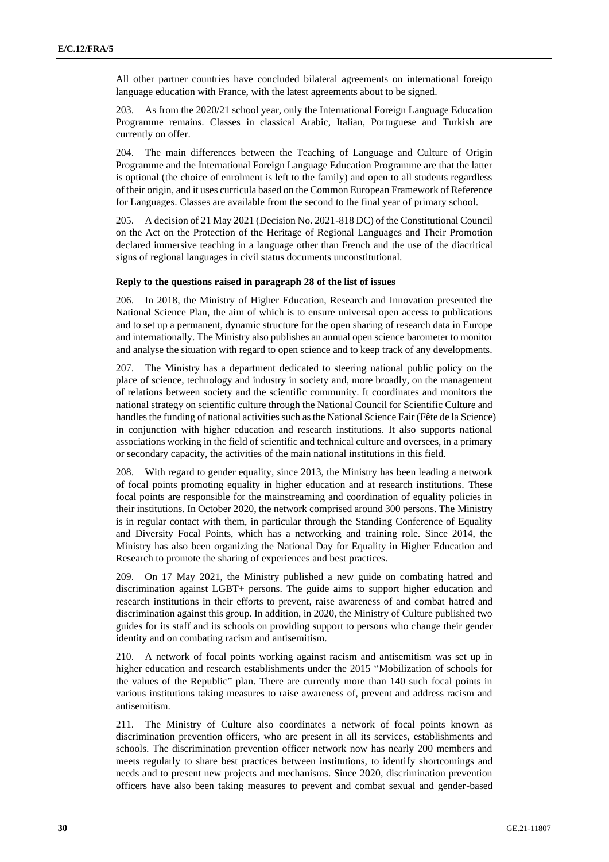All other partner countries have concluded bilateral agreements on international foreign language education with France, with the latest agreements about to be signed.

203. As from the 2020/21 school year, only the International Foreign Language Education Programme remains. Classes in classical Arabic, Italian, Portuguese and Turkish are currently on offer.

204. The main differences between the Teaching of Language and Culture of Origin Programme and the International Foreign Language Education Programme are that the latter is optional (the choice of enrolment is left to the family) and open to all students regardless of their origin, and it uses curricula based on the Common European Framework of Reference for Languages. Classes are available from the second to the final year of primary school.

205. A decision of 21 May 2021 (Decision No. 2021-818 DC) of the Constitutional Council on the Act on the Protection of the Heritage of Regional Languages and Their Promotion declared immersive teaching in a language other than French and the use of the diacritical signs of regional languages in civil status documents unconstitutional.

#### **Reply to the questions raised in paragraph 28 of the list of issues**

206. In 2018, the Ministry of Higher Education, Research and Innovation presented the National Science Plan, the aim of which is to ensure universal open access to publications and to set up a permanent, dynamic structure for the open sharing of research data in Europe and internationally. The Ministry also publishes an annual open science barometer to monitor and analyse the situation with regard to open science and to keep track of any developments.

207. The Ministry has a department dedicated to steering national public policy on the place of science, technology and industry in society and, more broadly, on the management of relations between society and the scientific community. It coordinates and monitors the national strategy on scientific culture through the National Council for Scientific Culture and handles the funding of national activities such as the National Science Fair (Fête de la Science) in conjunction with higher education and research institutions. It also supports national associations working in the field of scientific and technical culture and oversees, in a primary or secondary capacity, the activities of the main national institutions in this field.

208. With regard to gender equality, since 2013, the Ministry has been leading a network of focal points promoting equality in higher education and at research institutions. These focal points are responsible for the mainstreaming and coordination of equality policies in their institutions. In October 2020, the network comprised around 300 persons. The Ministry is in regular contact with them, in particular through the Standing Conference of Equality and Diversity Focal Points, which has a networking and training role. Since 2014, the Ministry has also been organizing the National Day for Equality in Higher Education and Research to promote the sharing of experiences and best practices.

209. On 17 May 2021, the Ministry published a new guide on combating hatred and discrimination against LGBT+ persons. The guide aims to support higher education and research institutions in their efforts to prevent, raise awareness of and combat hatred and discrimination against this group. In addition, in 2020, the Ministry of Culture published two guides for its staff and its schools on providing support to persons who change their gender identity and on combating racism and antisemitism.

210. A network of focal points working against racism and antisemitism was set up in higher education and research establishments under the 2015 "Mobilization of schools for the values of the Republic" plan. There are currently more than 140 such focal points in various institutions taking measures to raise awareness of, prevent and address racism and antisemitism.

211. The Ministry of Culture also coordinates a network of focal points known as discrimination prevention officers, who are present in all its services, establishments and schools. The discrimination prevention officer network now has nearly 200 members and meets regularly to share best practices between institutions, to identify shortcomings and needs and to present new projects and mechanisms. Since 2020, discrimination prevention officers have also been taking measures to prevent and combat sexual and gender-based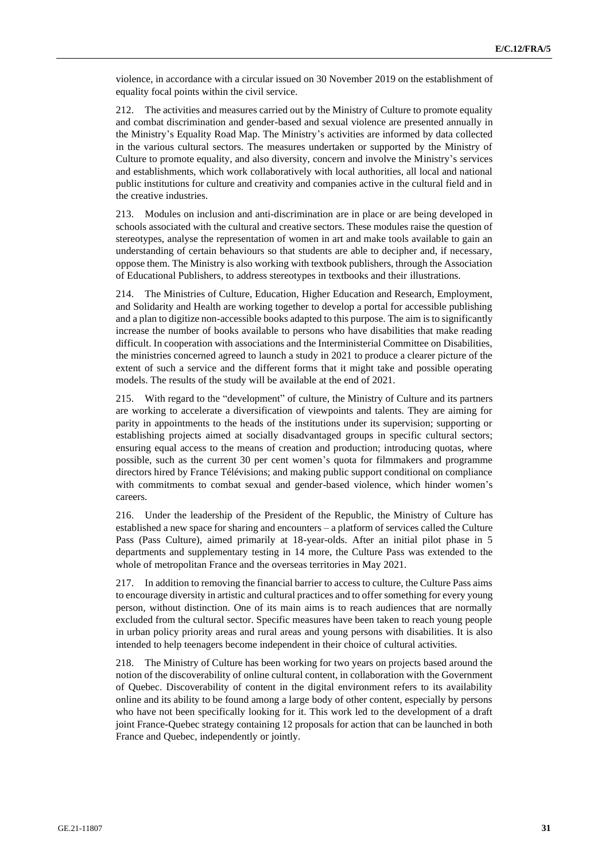violence, in accordance with a circular issued on 30 November 2019 on the establishment of equality focal points within the civil service.

212. The activities and measures carried out by the Ministry of Culture to promote equality and combat discrimination and gender-based and sexual violence are presented annually in the Ministry's Equality Road Map. The Ministry's activities are informed by data collected in the various cultural sectors. The measures undertaken or supported by the Ministry of Culture to promote equality, and also diversity, concern and involve the Ministry's services and establishments, which work collaboratively with local authorities, all local and national public institutions for culture and creativity and companies active in the cultural field and in the creative industries.

213. Modules on inclusion and anti-discrimination are in place or are being developed in schools associated with the cultural and creative sectors. These modules raise the question of stereotypes, analyse the representation of women in art and make tools available to gain an understanding of certain behaviours so that students are able to decipher and, if necessary, oppose them. The Ministry is also working with textbook publishers, through the Association of Educational Publishers, to address stereotypes in textbooks and their illustrations.

214. The Ministries of Culture, Education, Higher Education and Research, Employment, and Solidarity and Health are working together to develop a portal for accessible publishing and a plan to digitize non-accessible books adapted to this purpose. The aim is to significantly increase the number of books available to persons who have disabilities that make reading difficult. In cooperation with associations and the Interministerial Committee on Disabilities, the ministries concerned agreed to launch a study in 2021 to produce a clearer picture of the extent of such a service and the different forms that it might take and possible operating models. The results of the study will be available at the end of 2021.

215. With regard to the "development" of culture, the Ministry of Culture and its partners are working to accelerate a diversification of viewpoints and talents. They are aiming for parity in appointments to the heads of the institutions under its supervision; supporting or establishing projects aimed at socially disadvantaged groups in specific cultural sectors; ensuring equal access to the means of creation and production; introducing quotas, where possible, such as the current 30 per cent women's quota for filmmakers and programme directors hired by France Télévisions; and making public support conditional on compliance with commitments to combat sexual and gender-based violence, which hinder women's careers.

216. Under the leadership of the President of the Republic, the Ministry of Culture has established a new space for sharing and encounters – a platform of services called the Culture Pass (Pass Culture), aimed primarily at 18-year-olds. After an initial pilot phase in 5 departments and supplementary testing in 14 more, the Culture Pass was extended to the whole of metropolitan France and the overseas territories in May 2021.

217. In addition to removing the financial barrier to access to culture, the Culture Pass aims to encourage diversity in artistic and cultural practices and to offer something for every young person, without distinction. One of its main aims is to reach audiences that are normally excluded from the cultural sector. Specific measures have been taken to reach young people in urban policy priority areas and rural areas and young persons with disabilities. It is also intended to help teenagers become independent in their choice of cultural activities.

218. The Ministry of Culture has been working for two years on projects based around the notion of the discoverability of online cultural content, in collaboration with the Government of Quebec. Discoverability of content in the digital environment refers to its availability online and its ability to be found among a large body of other content, especially by persons who have not been specifically looking for it. This work led to the development of a draft joint France-Quebec strategy containing 12 proposals for action that can be launched in both France and Quebec, independently or jointly.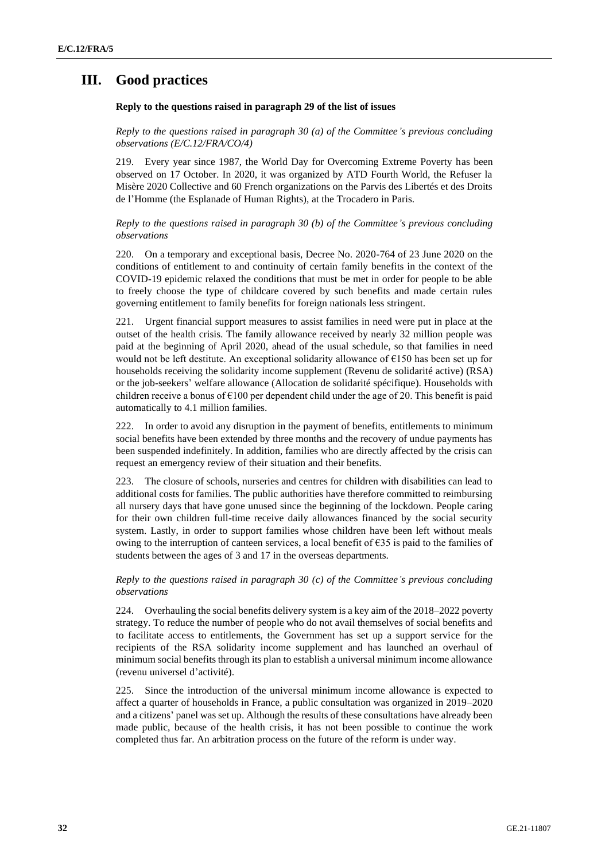## **III. Good practices**

## **Reply to the questions raised in paragraph 29 of the list of issues**

*Reply to the questions raised in paragraph 30 (a) of the Committee's previous concluding observations (E/C.12/FRA/CO/4)*

219. Every year since 1987, the World Day for Overcoming Extreme Poverty has been observed on 17 October. In 2020, it was organized by ATD Fourth World, the Refuser la Misère 2020 Collective and 60 French organizations on the Parvis des Libertés et des Droits de l'Homme (the Esplanade of Human Rights), at the Trocadero in Paris.

*Reply to the questions raised in paragraph 30 (b) of the Committee's previous concluding observations*

220. On a temporary and exceptional basis, Decree No. 2020-764 of 23 June 2020 on the conditions of entitlement to and continuity of certain family benefits in the context of the COVID-19 epidemic relaxed the conditions that must be met in order for people to be able to freely choose the type of childcare covered by such benefits and made certain rules governing entitlement to family benefits for foreign nationals less stringent.

221. Urgent financial support measures to assist families in need were put in place at the outset of the health crisis. The family allowance received by nearly 32 million people was paid at the beginning of April 2020, ahead of the usual schedule, so that families in need would not be left destitute. An exceptional solidarity allowance of  $\epsilon$ 150 has been set up for households receiving the solidarity income supplement (Revenu de solidarité active) (RSA) or the job-seekers' welfare allowance (Allocation de solidarité spécifique). Households with children receive a bonus of  $\epsilon$ 100 per dependent child under the age of 20. This benefit is paid automatically to 4.1 million families.

222. In order to avoid any disruption in the payment of benefits, entitlements to minimum social benefits have been extended by three months and the recovery of undue payments has been suspended indefinitely. In addition, families who are directly affected by the crisis can request an emergency review of their situation and their benefits.

223. The closure of schools, nurseries and centres for children with disabilities can lead to additional costs for families. The public authorities have therefore committed to reimbursing all nursery days that have gone unused since the beginning of the lockdown. People caring for their own children full-time receive daily allowances financed by the social security system. Lastly, in order to support families whose children have been left without meals owing to the interruption of canteen services, a local benefit of  $\epsilon$ 35 is paid to the families of students between the ages of 3 and 17 in the overseas departments.

## *Reply to the questions raised in paragraph 30 (c) of the Committee's previous concluding observations*

224. Overhauling the social benefits delivery system is a key aim of the 2018–2022 poverty strategy. To reduce the number of people who do not avail themselves of social benefits and to facilitate access to entitlements, the Government has set up a support service for the recipients of the RSA solidarity income supplement and has launched an overhaul of minimum social benefits through its plan to establish a universal minimum income allowance (revenu universel d'activité).

225. Since the introduction of the universal minimum income allowance is expected to affect a quarter of households in France, a public consultation was organized in 2019–2020 and a citizens' panel was set up. Although the results of these consultations have already been made public, because of the health crisis, it has not been possible to continue the work completed thus far. An arbitration process on the future of the reform is under way.